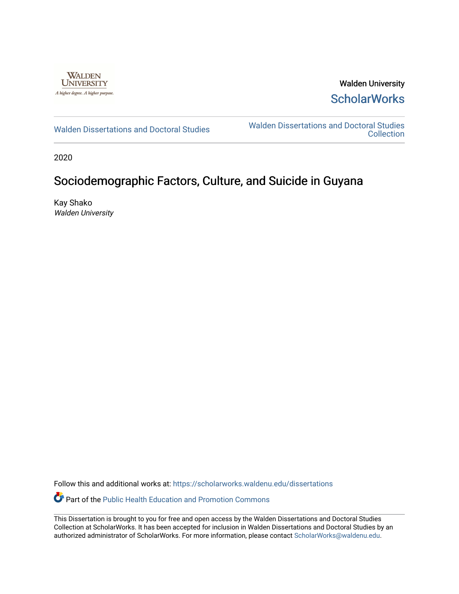

Walden University **ScholarWorks** 

[Walden Dissertations and Doctoral Studies](https://scholarworks.waldenu.edu/dissertations) Walden Dissertations and Doctoral Studies **Collection** 

2020

### Sociodemographic Factors, Culture, and Suicide in Guyana

Kay Shako Walden University

Follow this and additional works at: [https://scholarworks.waldenu.edu/dissertations](https://scholarworks.waldenu.edu/dissertations?utm_source=scholarworks.waldenu.edu%2Fdissertations%2F8650&utm_medium=PDF&utm_campaign=PDFCoverPages)

Part of the [Public Health Education and Promotion Commons](http://network.bepress.com/hgg/discipline/743?utm_source=scholarworks.waldenu.edu%2Fdissertations%2F8650&utm_medium=PDF&utm_campaign=PDFCoverPages) 

This Dissertation is brought to you for free and open access by the Walden Dissertations and Doctoral Studies Collection at ScholarWorks. It has been accepted for inclusion in Walden Dissertations and Doctoral Studies by an authorized administrator of ScholarWorks. For more information, please contact [ScholarWorks@waldenu.edu](mailto:ScholarWorks@waldenu.edu).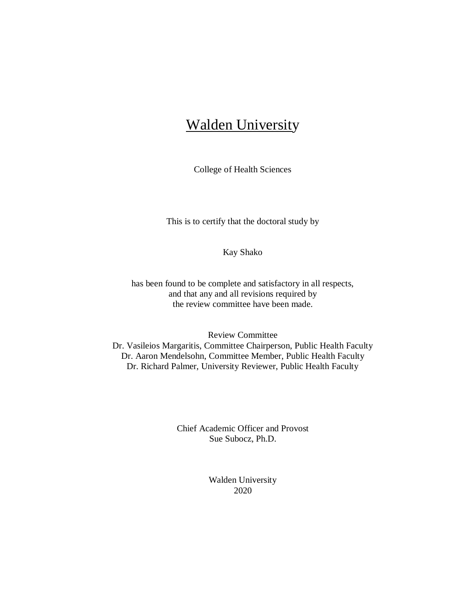# Walden University

College of Health Sciences

This is to certify that the doctoral study by

Kay Shako

has been found to be complete and satisfactory in all respects, and that any and all revisions required by the review committee have been made.

Review Committee Dr. Vasileios Margaritis, Committee Chairperson, Public Health Faculty Dr. Aaron Mendelsohn, Committee Member, Public Health Faculty Dr. Richard Palmer, University Reviewer, Public Health Faculty

> Chief Academic Officer and Provost Sue Subocz, Ph.D.

> > Walden University 2020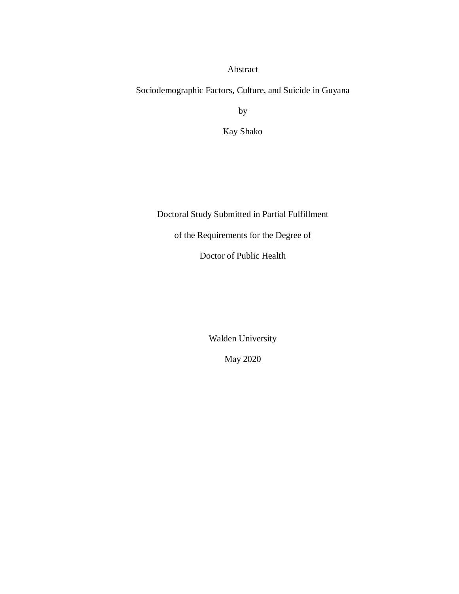Abstract

Sociodemographic Factors, Culture, and Suicide in Guyana

by

Kay Shako

Doctoral Study Submitted in Partial Fulfillment

of the Requirements for the Degree of

Doctor of Public Health

Walden University

May 2020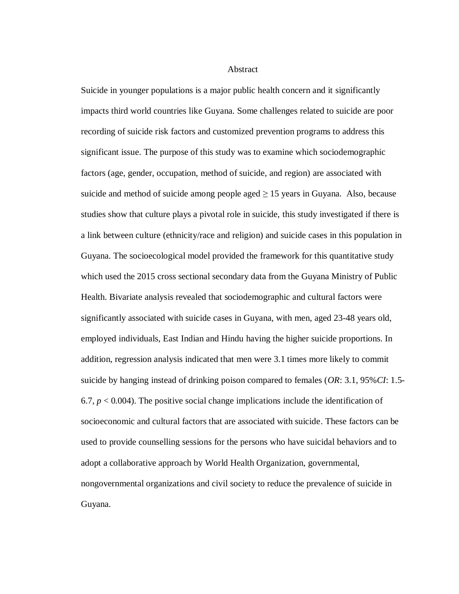Abstract

Suicide in younger populations is a major public health concern and it significantly impacts third world countries like Guyana. Some challenges related to suicide are poor recording of suicide risk factors and customized prevention programs to address this significant issue. The purpose of this study was to examine which sociodemographic factors (age, gender, occupation, method of suicide, and region) are associated with suicide and method of suicide among people aged  $\geq$  15 years in Guyana. Also, because studies show that culture plays a pivotal role in suicide, this study investigated if there is a link between culture (ethnicity/race and religion) and suicide cases in this population in Guyana. The socioecological model provided the framework for this quantitative study which used the 2015 cross sectional secondary data from the Guyana Ministry of Public Health. Bivariate analysis revealed that sociodemographic and cultural factors were significantly associated with suicide cases in Guyana, with men, aged 23-48 years old, employed individuals, East Indian and Hindu having the higher suicide proportions. In addition, regression analysis indicated that men were 3.1 times more likely to commit suicide by hanging instead of drinking poison compared to females (*OR*: 3.1, 95%*CI*: 1.5- 6.7,  $p < 0.004$ ). The positive social change implications include the identification of socioeconomic and cultural factors that are associated with suicide. These factors can be used to provide counselling sessions for the persons who have suicidal behaviors and to adopt a collaborative approach by World Health Organization, governmental, nongovernmental organizations and civil society to reduce the prevalence of suicide in Guyana.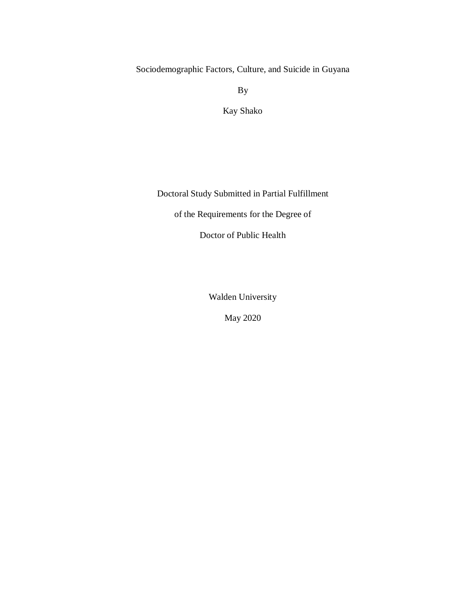Sociodemographic Factors, Culture, and Suicide in Guyana

By

Kay Shako

Doctoral Study Submitted in Partial Fulfillment

of the Requirements for the Degree of

Doctor of Public Health

Walden University

May 2020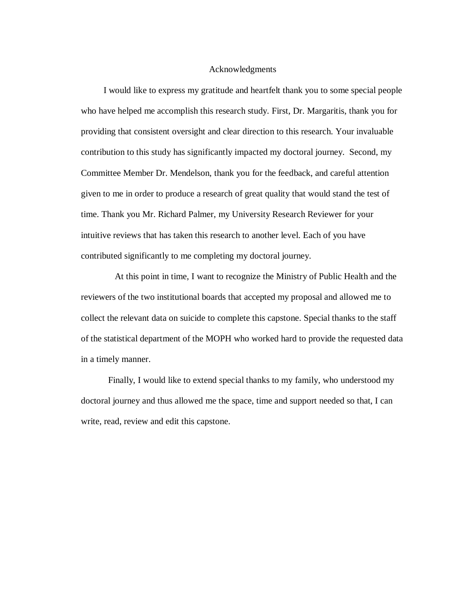### Acknowledgments

 I would like to express my gratitude and heartfelt thank you to some special people who have helped me accomplish this research study. First, Dr. Margaritis, thank you for providing that consistent oversight and clear direction to this research. Your invaluable contribution to this study has significantly impacted my doctoral journey. Second, my Committee Member Dr. Mendelson, thank you for the feedback, and careful attention given to me in order to produce a research of great quality that would stand the test of time. Thank you Mr. Richard Palmer, my University Research Reviewer for your intuitive reviews that has taken this research to another level. Each of you have contributed significantly to me completing my doctoral journey.

 At this point in time, I want to recognize the Ministry of Public Health and the reviewers of the two institutional boards that accepted my proposal and allowed me to collect the relevant data on suicide to complete this capstone. Special thanks to the staff of the statistical department of the MOPH who worked hard to provide the requested data in a timely manner.

 Finally, I would like to extend special thanks to my family, who understood my doctoral journey and thus allowed me the space, time and support needed so that, I can write, read, review and edit this capstone.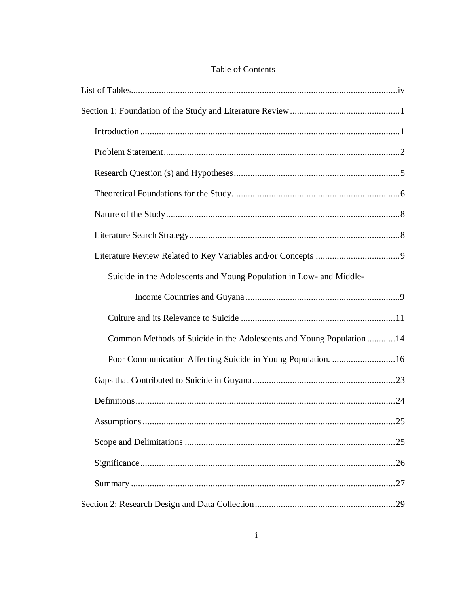|  | Table of Contents |
|--|-------------------|
|--|-------------------|

| Suicide in the Adolescents and Young Population in Low- and Middle-  |
|----------------------------------------------------------------------|
|                                                                      |
|                                                                      |
| Common Methods of Suicide in the Adolescents and Young Population 14 |
| Poor Communication Affecting Suicide in Young Population. 16         |
|                                                                      |
|                                                                      |
| 25                                                                   |
|                                                                      |
|                                                                      |
|                                                                      |
|                                                                      |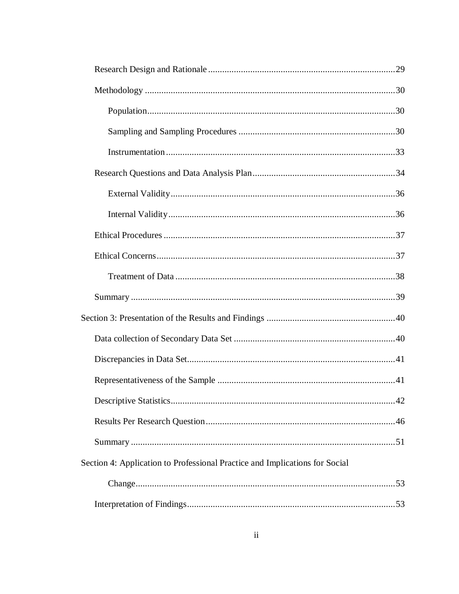| Section 4: Application to Professional Practice and Implications for Social |  |
|-----------------------------------------------------------------------------|--|
|                                                                             |  |
|                                                                             |  |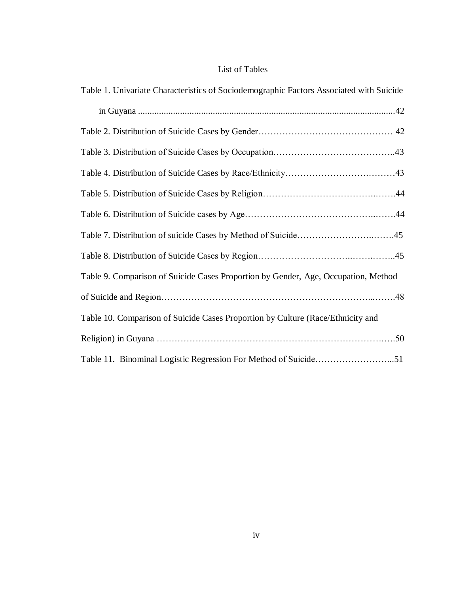### List of Tables

<span id="page-9-0"></span>

| Table 1. Univariate Characteristics of Sociodemographic Factors Associated with Suicide |
|-----------------------------------------------------------------------------------------|
|                                                                                         |
|                                                                                         |
|                                                                                         |
|                                                                                         |
|                                                                                         |
|                                                                                         |
|                                                                                         |
|                                                                                         |
| Table 9. Comparison of Suicide Cases Proportion by Gender, Age, Occupation, Method      |
|                                                                                         |
| Table 10. Comparison of Suicide Cases Proportion by Culture (Race/Ethnicity and         |
|                                                                                         |
| Table 11. Binominal Logistic Regression For Method of Suicide51                         |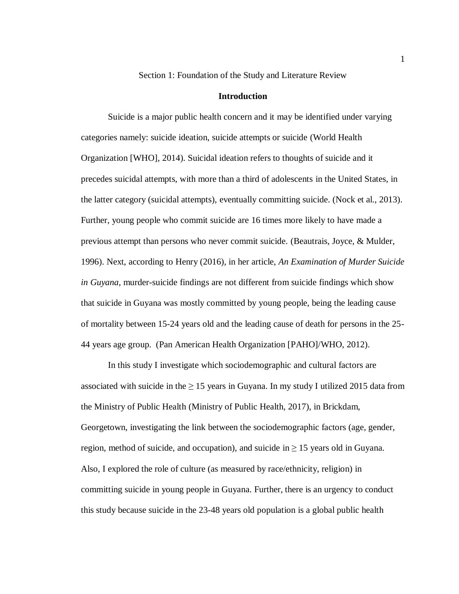Section 1: Foundation of the Study and Literature Review

### **Introduction**

<span id="page-10-1"></span><span id="page-10-0"></span>Suicide is a major public health concern and it may be identified under varying categories namely: suicide ideation, suicide attempts or suicide (World Health Organization [WHO], 2014). Suicidal ideation refers to thoughts of suicide and it precedes suicidal attempts, with more than a third of adolescents in the United States, in the latter category (suicidal attempts), eventually committing suicide. (Nock et al., 2013). Further, young people who commit suicide are 16 times more likely to have made a previous attempt than persons who never commit suicide. (Beautrais, Joyce, & Mulder, 1996). Next, according to Henry (2016), in her article, *An Examination of Murder Suicide in Guyana*, murder-suicide findings are not different from suicide findings which show that suicide in Guyana was mostly committed by young people, being the leading cause of mortality between 15-24 years old and the leading cause of death for persons in the 25- 44 years age group. (Pan American Health Organization [PAHO]/WHO, 2012).

In this study I investigate which sociodemographic and cultural factors are associated with suicide in the  $\geq 15$  years in Guyana. In my study I utilized 2015 data from the Ministry of Public Health (Ministry of Public Health, 2017), in Brickdam, Georgetown, investigating the link between the sociodemographic factors (age, gender, region, method of suicide, and occupation), and suicide in  $\geq$  15 years old in Guyana. Also, I explored the role of culture (as measured by race/ethnicity, religion) in committing suicide in young people in Guyana. Further, there is an urgency to conduct this study because suicide in the 23-48 years old population is a global public health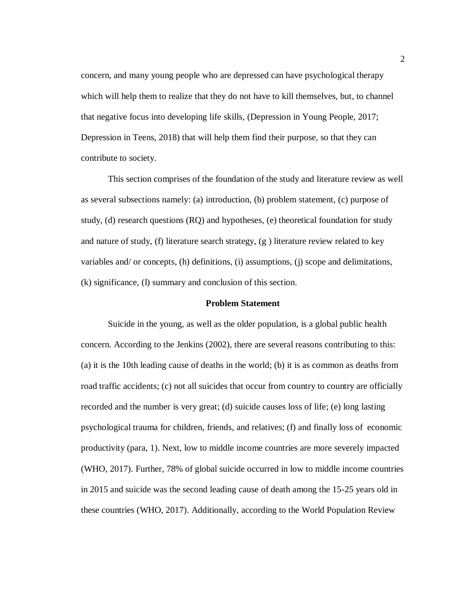concern, and many young people who are depressed can have psychological therapy which will help them to realize that they do not have to kill themselves, but, to channel that negative focus into developing life skills, (Depression in Young People, 2017; Depression in Teens, 2018) that will help them find their purpose, so that they can contribute to society.

This section comprises of the foundation of the study and literature review as well as several subsections namely: (a) introduction, (b) problem statement, (c) purpose of study, (d) research questions (RQ) and hypotheses, (e) theoretical foundation for study and nature of study, (f) literature search strategy, (g ) literature review related to key variables and/ or concepts, (h) definitions, (i) assumptions, (j) scope and delimitations, (k) significance, (l) summary and conclusion of this section.

### **Problem Statement**

<span id="page-11-0"></span>Suicide in the young, as well as the older population, is a global public health concern. According to the Jenkins (2002), there are several reasons contributing to this: (a) it is the 10th leading cause of deaths in the world; (b) it is as common as deaths from road traffic accidents; (c) not all suicides that occur from country to country are officially recorded and the number is very great; (d) suicide causes loss of life; (e) long lasting psychological trauma for children, friends, and relatives; (f) and finally loss of economic productivity (para, 1). Next, low to middle income countries are more severely impacted (WHO, 2017). Further, 78% of global suicide occurred in low to middle income countries in 2015 and suicide was the second leading cause of death among the 15-25 years old in these countries (WHO, 2017). Additionally, according to the World Population Review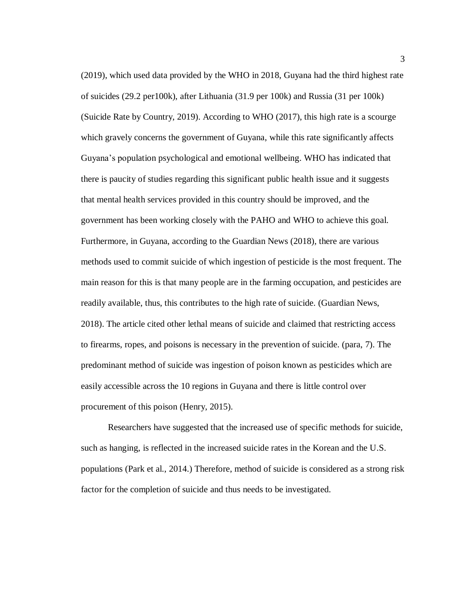(2019), which used data provided by the WHO in 2018, Guyana had the third highest rate of suicides (29.2 per100k), after Lithuania (31.9 per 100k) and Russia (31 per 100k) (Suicide Rate by Country, 2019). According to WHO (2017), this high rate is a scourge which gravely concerns the government of Guyana, while this rate significantly affects Guyana's population psychological and emotional wellbeing. WHO has indicated that there is paucity of studies regarding this significant public health issue and it suggests that mental health services provided in this country should be improved, and the government has been working closely with the PAHO and WHO to achieve this goal. Furthermore, in Guyana, according to the Guardian News (2018), there are various methods used to commit suicide of which ingestion of pesticide is the most frequent. The main reason for this is that many people are in the farming occupation, and pesticides are readily available, thus, this contributes to the high rate of suicide. (Guardian News, 2018). The article cited other lethal means of suicide and claimed that restricting access to firearms, ropes, and poisons is necessary in the prevention of suicide. (para, 7). The predominant method of suicide was ingestion of poison known as pesticides which are easily accessible across the 10 regions in Guyana and there is little control over procurement of this poison (Henry, 2015).

Researchers have suggested that the increased use of specific methods for suicide, such as hanging, is reflected in the increased suicide rates in the Korean and the U.S. populations (Park et al., 2014.) Therefore, method of suicide is considered as a strong risk factor for the completion of suicide and thus needs to be investigated.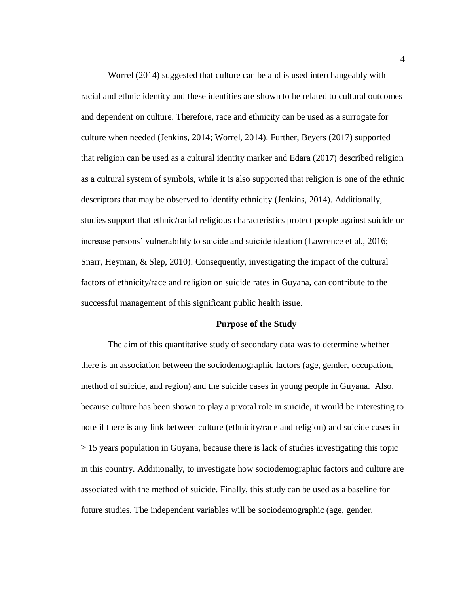Worrel (2014) suggested that culture can be and is used interchangeably with racial and ethnic identity and these identities are shown to be related to cultural outcomes and dependent on culture. Therefore, race and ethnicity can be used as a surrogate for culture when needed (Jenkins, 2014; Worrel, 2014). Further, Beyers (2017) supported that religion can be used as a cultural identity marker and Edara (2017) described religion as a cultural system of symbols, while it is also supported that religion is one of the ethnic descriptors that may be observed to identify ethnicity (Jenkins, 2014). Additionally, studies support that ethnic/racial religious characteristics protect people against suicide or increase persons' vulnerability to suicide and suicide ideation (Lawrence et al., 2016; Snarr, Heyman, & Slep, 2010). Consequently, investigating the impact of the cultural factors of ethnicity/race and religion on suicide rates in Guyana, can contribute to the successful management of this significant public health issue.

### **Purpose of the Study**

The aim of this quantitative study of secondary data was to determine whether there is an association between the sociodemographic factors (age, gender, occupation, method of suicide, and region) and the suicide cases in young people in Guyana. Also, because culture has been shown to play a pivotal role in suicide, it would be interesting to note if there is any link between culture (ethnicity/race and religion) and suicide cases in  $\geq$  15 years population in Guyana, because there is lack of studies investigating this topic in this country. Additionally, to investigate how sociodemographic factors and culture are associated with the method of suicide. Finally, this study can be used as a baseline for future studies. The independent variables will be sociodemographic (age, gender,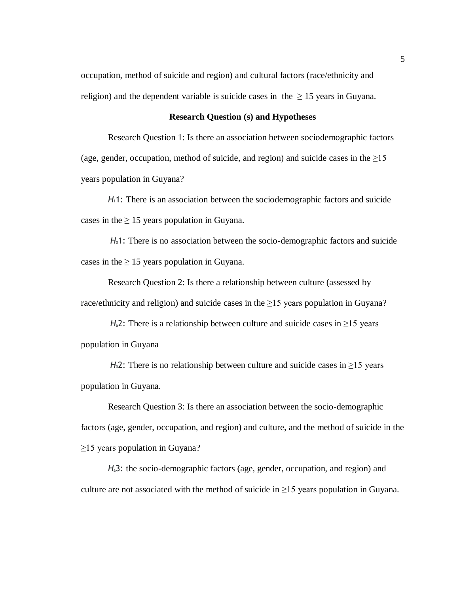occupation, method of suicide and region) and cultural factors (race/ethnicity and religion) and the dependent variable is suicide cases in the  $\geq 15$  years in Guyana.

### **Research Question (s) and Hypotheses**

<span id="page-14-0"></span>Research Question 1: Is there an association between sociodemographic factors (age, gender, occupation, method of suicide, and region) and suicide cases in the  $\geq 15$ years population in Guyana?

*H*11: There is an association between the sociodemographic factors and suicide cases in the  $\geq 15$  years population in Guyana.

*H*01: There is no association between the socio-demographic factors and suicide cases in the  $\geq 15$  years population in Guyana.

Research Question 2: Is there a relationship between culture (assessed by race/ethnicity and religion) and suicide cases in the  $\geq$ 15 years population in Guyana?

*H*<sub>a</sub>2: There is a relationship between culture and suicide cases in  $\geq$ 15 years population in Guyana

*H*<sup>02</sup>: There is no relationship between culture and suicide cases in  $\geq$ 15 years population in Guyana.

Research Question 3: Is there an association between the socio-demographic factors (age, gender, occupation, and region) and culture, and the method of suicide in the ≥15 years population in Guyana?

*H*a3: the socio-demographic factors (age, gender, occupation, and region) and culture are not associated with the method of suicide in  $\geq$ 15 years population in Guyana.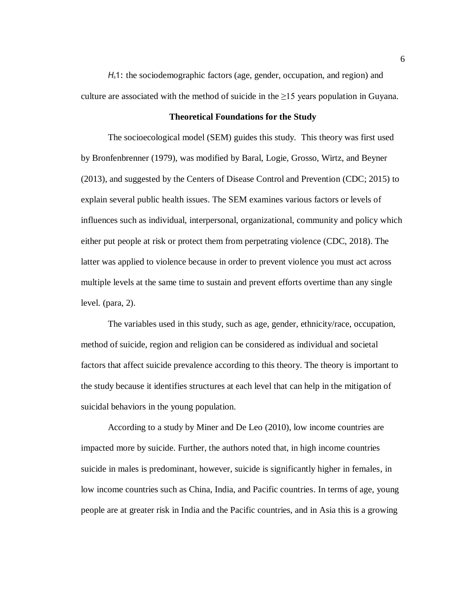*H*<sub>a</sub>1: the sociodemographic factors (age, gender, occupation, and region) and culture are associated with the method of suicide in the  $\geq 15$  years population in Guyana.

### **Theoretical Foundations for the Study**

<span id="page-15-0"></span>The socioecological model (SEM) guides this study. This theory was first used by Bronfenbrenner (1979), was modified by Baral, Logie, Grosso, Wirtz, and Beyner (2013), and suggested by the Centers of Disease Control and Prevention (CDC; 2015) to explain several public health issues. The SEM examines various factors or levels of influences such as individual, interpersonal, organizational, community and policy which either put people at risk or protect them from perpetrating violence (CDC, 2018). The latter was applied to violence because in order to prevent violence you must act across multiple levels at the same time to sustain and prevent efforts overtime than any single level. (para, 2).

The variables used in this study, such as age, gender, ethnicity/race, occupation, method of suicide, region and religion can be considered as individual and societal factors that affect suicide prevalence according to this theory. The theory is important to the study because it identifies structures at each level that can help in the mitigation of suicidal behaviors in the young population.

According to a study by Miner and De Leo (2010), low income countries are impacted more by suicide. Further, the authors noted that, in high income countries suicide in males is predominant, however, suicide is significantly higher in females, in low income countries such as China, India, and Pacific countries. In terms of age, young people are at greater risk in India and the Pacific countries, and in Asia this is a growing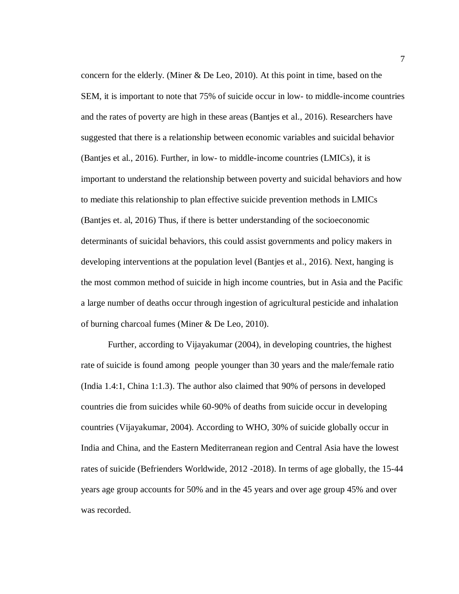concern for the elderly. (Miner & De Leo, 2010). At this point in time, based on the SEM, it is important to note that 75% of suicide occur in low- to middle-income countries and the rates of poverty are high in these areas (Bantjes et al., 2016). Researchers have suggested that there is a relationship between economic variables and suicidal behavior (Bantjes et al., 2016). Further, in low- to middle-income countries (LMICs), it is important to understand the relationship between poverty and suicidal behaviors and how to mediate this relationship to plan effective suicide prevention methods in LMICs (Bantjes et. al, 2016) Thus, if there is better understanding of the socioeconomic determinants of suicidal behaviors, this could assist governments and policy makers in developing interventions at the population level (Bantjes et al., 2016). Next, hanging is the most common method of suicide in high income countries, but in Asia and the Pacific a large number of deaths occur through ingestion of agricultural pesticide and inhalation of burning charcoal fumes (Miner & De Leo, 2010).

Further, according to Vijayakumar (2004), in developing countries, the highest rate of suicide is found among people younger than 30 years and the male/female ratio (India 1.4:1, China 1:1.3). The author also claimed that 90% of persons in developed countries die from suicides while 60-90% of deaths from suicide occur in developing countries (Vijayakumar, 2004). According to WHO, 30% of suicide globally occur in India and China, and the Eastern Mediterranean region and Central Asia have the lowest rates of suicide (Befrienders Worldwide, 2012 -2018). In terms of age globally, the 15-44 years age group accounts for 50% and in the 45 years and over age group 45% and over was recorded.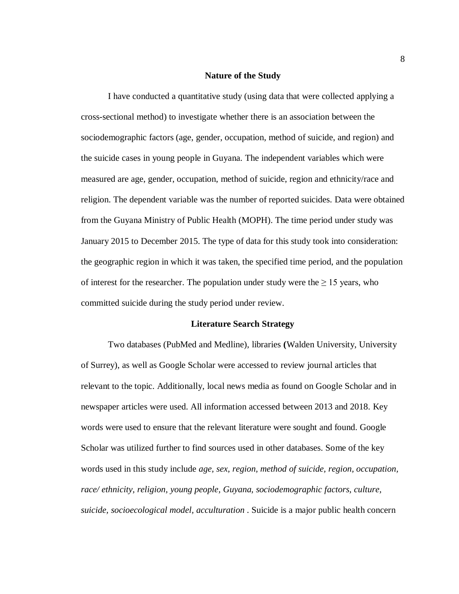### **Nature of the Study**

<span id="page-17-0"></span>I have conducted a quantitative study (using data that were collected applying a cross-sectional method) to investigate whether there is an association between the sociodemographic factors (age, gender, occupation, method of suicide, and region) and the suicide cases in young people in Guyana. The independent variables which were measured are age, gender, occupation, method of suicide, region and ethnicity/race and religion. The dependent variable was the number of reported suicides. Data were obtained from the Guyana Ministry of Public Health (MOPH). The time period under study was January 2015 to December 2015. The type of data for this study took into consideration: the geographic region in which it was taken, the specified time period, and the population of interest for the researcher. The population under study were the  $\geq 15$  years, who committed suicide during the study period under review.

#### **Literature Search Strategy**

<span id="page-17-1"></span>Two databases (PubMed and Medline), libraries **(**Walden University, University of Surrey), as well as Google Scholar were accessed to review journal articles that relevant to the topic. Additionally, local news media as found on Google Scholar and in newspaper articles were used. All information accessed between 2013 and 2018. Key words were used to ensure that the relevant literature were sought and found. Google Scholar was utilized further to find sources used in other databases. Some of the key words used in this study include *age, sex, region, method of suicide, region, occupation, race/ ethnicity, religion, young people, Guyana, sociodemographic factors, culture, suicide, socioecological model, acculturation* . Suicide is a major public health concern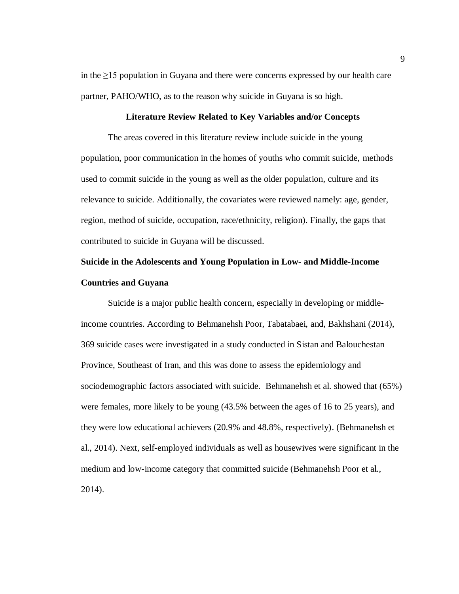in the ≥15 population in Guyana and there were concerns expressed by our health care partner, PAHO/WHO, as to the reason why suicide in Guyana is so high.

### **Literature Review Related to Key Variables and/or Concepts**

<span id="page-18-0"></span>The areas covered in this literature review include suicide in the young population, poor communication in the homes of youths who commit suicide, methods used to commit suicide in the young as well as the older population, culture and its relevance to suicide. Additionally, the covariates were reviewed namely: age, gender, region, method of suicide, occupation, race/ethnicity, religion). Finally, the gaps that contributed to suicide in Guyana will be discussed.

## <span id="page-18-1"></span>**Suicide in the Adolescents and Young Population in Low- and Middle-Income Countries and Guyana**

Suicide is a major public health concern, especially in developing or middleincome countries. According to Behmanehsh Poor, Tabatabaei, and, Bakhshani (2014), 369 suicide cases were investigated in a study conducted in Sistan and Balouchestan Province, Southeast of Iran, and this was done to assess the epidemiology and sociodemographic factors associated with suicide. Behmanehsh et al. showed that (65%) were females, more likely to be young (43.5% between the ages of 16 to 25 years), and they were low educational achievers (20.9% and 48.8%, respectively). (Behmanehsh et al., 2014). Next, self-employed individuals as well as housewives were significant in the medium and low-income category that committed suicide (Behmanehsh Poor et al., 2014).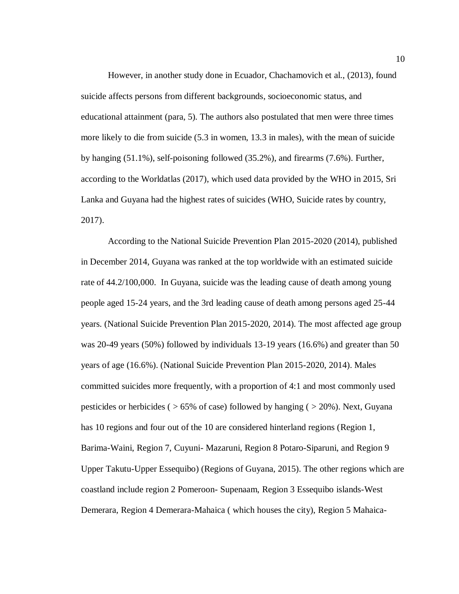However, in another study done in Ecuador, Chachamovich et al., (2013), found suicide affects persons from different backgrounds, socioeconomic status, and educational attainment (para, 5). The authors also postulated that men were three times more likely to die from suicide (5.3 in women, 13.3 in males), with the mean of suicide by hanging (51.1%), self-poisoning followed (35.2%), and firearms (7.6%). Further, according to the Worldatlas (2017), which used data provided by the WHO in 2015, Sri Lanka and Guyana had the highest rates of suicides (WHO, Suicide rates by country, 2017).

According to the National Suicide Prevention Plan 2015-2020 (2014), published in December 2014, Guyana was ranked at the top worldwide with an estimated suicide rate of 44.2/100,000. In Guyana, suicide was the leading cause of death among young people aged 15-24 years, and the 3rd leading cause of death among persons aged 25-44 years. (National Suicide Prevention Plan 2015-2020, 2014). The most affected age group was 20-49 years (50%) followed by individuals 13-19 years (16.6%) and greater than 50 years of age (16.6%). (National Suicide Prevention Plan 2015-2020, 2014). Males committed suicides more frequently, with a proportion of 4:1 and most commonly used pesticides or herbicides ( $>65\%$  of case) followed by hanging ( $>20\%$ ). Next, Guyana has 10 regions and four out of the 10 are considered hinterland regions (Region 1, Barima-Waini, Region 7, Cuyuni- Mazaruni, Region 8 Potaro-Siparuni, and Region 9 Upper Takutu-Upper Essequibo) (Regions of Guyana, 2015). The other regions which are coastland include region 2 Pomeroon- Supenaam, Region 3 Essequibo islands-West Demerara, Region 4 Demerara-Mahaica ( which houses the city), Region 5 Mahaica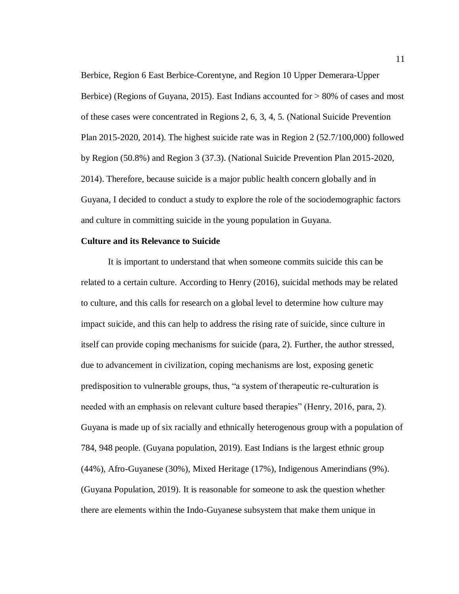Berbice, Region 6 East Berbice-Corentyne, and Region 10 Upper Demerara-Upper Berbice) (Regions of Guyana, 2015). East Indians accounted for > 80% of cases and most of these cases were concentrated in Regions 2, 6, 3, 4, 5. (National Suicide Prevention Plan 2015-2020, 2014). The highest suicide rate was in Region 2 (52.7/100,000) followed by Region (50.8%) and Region 3 (37.3). (National Suicide Prevention Plan 2015-2020, 2014). Therefore, because suicide is a major public health concern globally and in Guyana, I decided to conduct a study to explore the role of the sociodemographic factors and culture in committing suicide in the young population in Guyana.

### <span id="page-20-0"></span>**Culture and its Relevance to Suicide**

It is important to understand that when someone commits suicide this can be related to a certain culture. According to Henry (2016), suicidal methods may be related to culture, and this calls for research on a global level to determine how culture may impact suicide, and this can help to address the rising rate of suicide, since culture in itself can provide coping mechanisms for suicide (para, 2). Further, the author stressed, due to advancement in civilization, coping mechanisms are lost, exposing genetic predisposition to vulnerable groups, thus, "a system of therapeutic re-culturation is needed with an emphasis on relevant culture based therapies" (Henry, 2016, para, 2). Guyana is made up of six racially and ethnically heterogenous group with a population of 784, 948 people. (Guyana population, 2019). East Indians is the largest ethnic group (44%), Afro-Guyanese (30%), Mixed Heritage (17%), Indigenous Amerindians (9%). (Guyana Population, 2019). It is reasonable for someone to ask the question whether there are elements within the Indo-Guyanese subsystem that make them unique in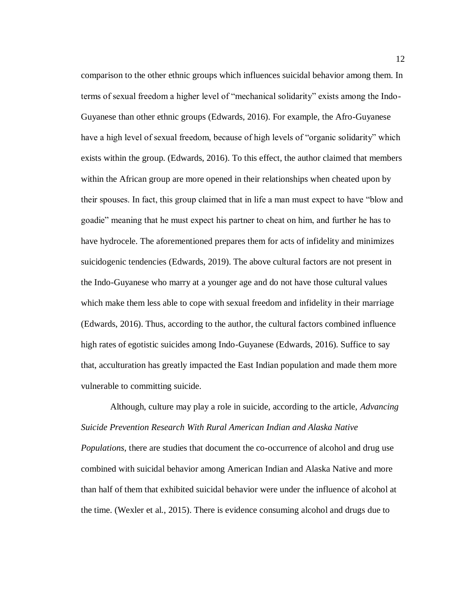comparison to the other ethnic groups which influences suicidal behavior among them. In terms of sexual freedom a higher level of "mechanical solidarity" exists among the Indo-Guyanese than other ethnic groups (Edwards, 2016). For example, the Afro-Guyanese have a high level of sexual freedom, because of high levels of "organic solidarity" which exists within the group. (Edwards, 2016). To this effect, the author claimed that members within the African group are more opened in their relationships when cheated upon by their spouses. In fact, this group claimed that in life a man must expect to have "blow and goadie" meaning that he must expect his partner to cheat on him, and further he has to have hydrocele. The aforementioned prepares them for acts of infidelity and minimizes suicidogenic tendencies (Edwards, 2019). The above cultural factors are not present in the Indo-Guyanese who marry at a younger age and do not have those cultural values which make them less able to cope with sexual freedom and infidelity in their marriage (Edwards, 2016). Thus, according to the author, the cultural factors combined influence high rates of egotistic suicides among Indo-Guyanese (Edwards, 2016). Suffice to say that, acculturation has greatly impacted the East Indian population and made them more vulnerable to committing suicide.

Although, culture may play a role in suicide, according to the article, *Advancing Suicide Prevention Research With Rural American Indian and Alaska Native Populations*, there are studies that document the co-occurrence of alcohol and drug use combined with suicidal behavior among American Indian and Alaska Native and more than half of them that exhibited suicidal behavior were under the influence of alcohol at the time. (Wexler et al., 2015). There is evidence consuming alcohol and drugs due to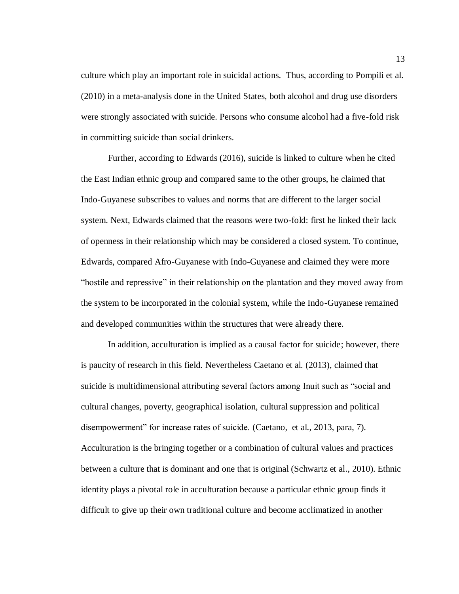culture which play an important role in suicidal actions. Thus, according to Pompili et al. (2010) in a meta-analysis done in the United States, both alcohol and drug use disorders were strongly associated with suicide. Persons who consume alcohol had a five-fold risk in committing suicide than social drinkers.

Further, according to Edwards (2016), suicide is linked to culture when he cited the East Indian ethnic group and compared same to the other groups, he claimed that Indo-Guyanese subscribes to values and norms that are different to the larger social system. Next, Edwards claimed that the reasons were two-fold: first he linked their lack of openness in their relationship which may be considered a closed system. To continue, Edwards, compared Afro-Guyanese with Indo-Guyanese and claimed they were more "hostile and repressive" in their relationship on the plantation and they moved away from the system to be incorporated in the colonial system, while the Indo-Guyanese remained and developed communities within the structures that were already there.

In addition, acculturation is implied as a causal factor for suicide; however, there is paucity of research in this field. Nevertheless Caetano et al. (2013), claimed that suicide is multidimensional attributing several factors among Inuit such as "social and cultural changes, poverty, geographical isolation, cultural suppression and political disempowerment" for increase rates of suicide. (Caetano, et al., 2013, para, 7). Acculturation is the bringing together or a combination of cultural values and practices between a culture that is dominant and one that is original (Schwartz et al., 2010). Ethnic identity plays a pivotal role in acculturation because a particular ethnic group finds it difficult to give up their own traditional culture and become acclimatized in another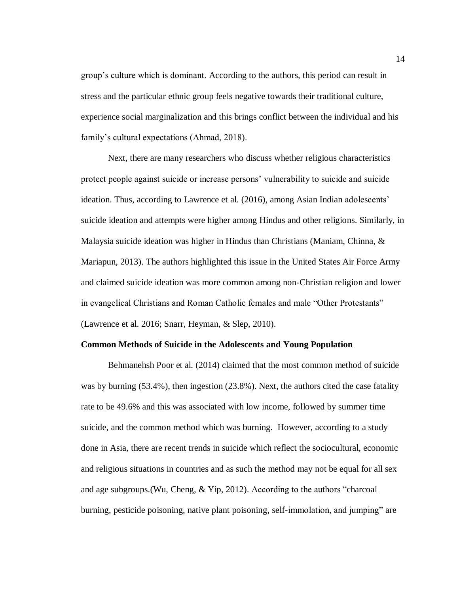group's culture which is dominant. According to the authors, this period can result in stress and the particular ethnic group feels negative towards their traditional culture, experience social marginalization and this brings conflict between the individual and his family's cultural expectations (Ahmad, 2018).

Next, there are many researchers who discuss whether religious characteristics protect people against suicide or increase persons' vulnerability to suicide and suicide ideation. Thus, according to Lawrence et al. (2016), among Asian Indian adolescents' suicide ideation and attempts were higher among Hindus and other religions. Similarly, in Malaysia suicide ideation was higher in Hindus than Christians (Maniam, Chinna,  $\&$ Mariapun, 2013). The authors highlighted this issue in the United States Air Force Army and claimed suicide ideation was more common among non-Christian religion and lower in evangelical Christians and Roman Catholic females and male "Other Protestants" (Lawrence et al. 2016; Snarr, Heyman, & Slep, 2010).

#### <span id="page-23-0"></span>**Common Methods of Suicide in the Adolescents and Young Population**

Behmanehsh Poor et al. (2014) claimed that the most common method of suicide was by burning (53.4%), then ingestion (23.8%). Next, the authors cited the case fatality rate to be 49.6% and this was associated with low income, followed by summer time suicide, and the common method which was burning. However, according to a study done in Asia, there are recent trends in suicide which reflect the sociocultural, economic and religious situations in countries and as such the method may not be equal for all sex and age subgroups.(Wu, Cheng, & Yip, 2012). According to the authors "charcoal burning, pesticide poisoning, native plant poisoning, self-immolation, and jumping" are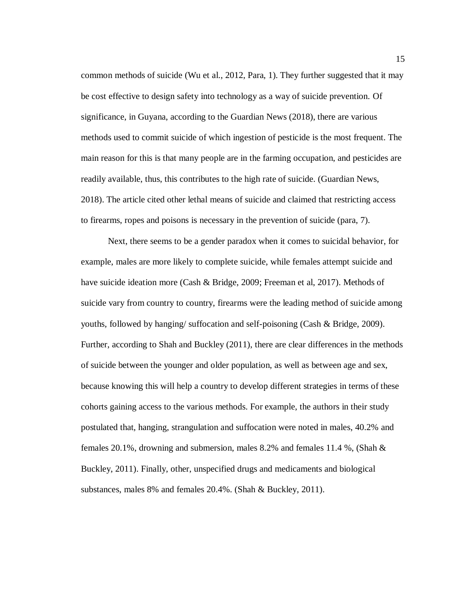common methods of suicide (Wu et al., 2012, Para, 1). They further suggested that it may be cost effective to design safety into technology as a way of suicide prevention. Of significance, in Guyana, according to the Guardian News (2018), there are various methods used to commit suicide of which ingestion of pesticide is the most frequent. The main reason for this is that many people are in the farming occupation, and pesticides are readily available, thus, this contributes to the high rate of suicide. (Guardian News, 2018). The article cited other lethal means of suicide and claimed that restricting access to firearms, ropes and poisons is necessary in the prevention of suicide (para, 7).

Next, there seems to be a gender paradox when it comes to suicidal behavior, for example, males are more likely to complete suicide, while females attempt suicide and have suicide ideation more (Cash & Bridge, 2009; Freeman et al, 2017). Methods of suicide vary from country to country, firearms were the leading method of suicide among youths, followed by hanging/ suffocation and self-poisoning (Cash & Bridge, 2009). Further, according to Shah and Buckley (2011), there are clear differences in the methods of suicide between the younger and older population, as well as between age and sex, because knowing this will help a country to develop different strategies in terms of these cohorts gaining access to the various methods. For example, the authors in their study postulated that, hanging, strangulation and suffocation were noted in males, 40.2% and females 20.1%, drowning and submersion, males 8.2% and females 11.4 %, (Shah & Buckley, 2011). Finally, other, unspecified drugs and medicaments and biological substances, males 8% and females 20.4%. (Shah & Buckley, 2011).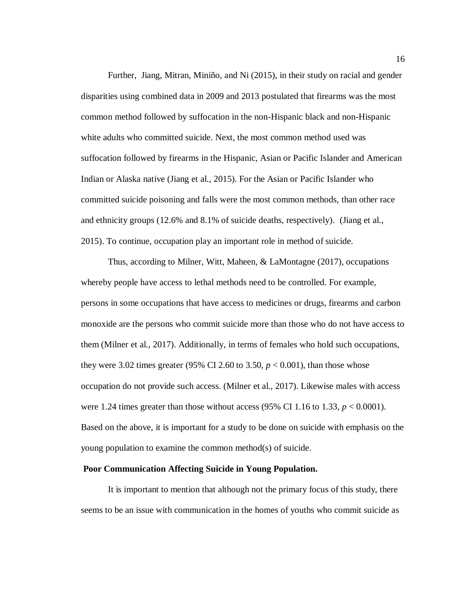Further, Jiang, Mitran, Miniño, and Ni (2015), in their study on racial and gender disparities using combined data in 2009 and 2013 postulated that firearms was the most common method followed by suffocation in the non-Hispanic black and non-Hispanic white adults who committed suicide. Next, the most common method used was suffocation followed by firearms in the Hispanic, Asian or Pacific Islander and American Indian or Alaska native (Jiang et al., 2015). For the Asian or Pacific Islander who committed suicide poisoning and falls were the most common methods, than other race and ethnicity groups (12.6% and 8.1% of suicide deaths, respectively). (Jiang et al., 2015). To continue, occupation play an important role in method of suicide.

Thus, according to Milner, Witt, Maheen, & LaMontagne (2017), occupations whereby people have access to lethal methods need to be controlled. For example, persons in some occupations that have access to medicines or drugs, firearms and carbon monoxide are the persons who commit suicide more than those who do not have access to them (Milner et al., 2017). Additionally, in terms of females who hold such occupations, they were 3.02 times greater (95% CI 2.60 to 3.50,  $p < 0.001$ ), than those whose occupation do not provide such access. (Milner et al., 2017). Likewise males with access were 1.24 times greater than those without access (95% CI 1.16 to 1.33,  $p < 0.0001$ ). Based on the above, it is important for a study to be done on suicide with emphasis on the young population to examine the common method(s) of suicide.

### <span id="page-25-0"></span>**Poor Communication Affecting Suicide in Young Population.**

It is important to mention that although not the primary focus of this study, there seems to be an issue with communication in the homes of youths who commit suicide as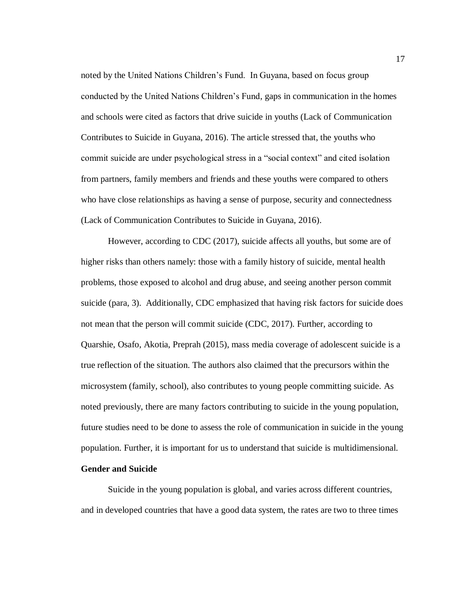noted by the United Nations Children's Fund. In Guyana, based on focus group conducted by the United Nations Children's Fund, gaps in communication in the homes and schools were cited as factors that drive suicide in youths (Lack of Communication Contributes to Suicide in Guyana, 2016). The article stressed that, the youths who commit suicide are under psychological stress in a "social context" and cited isolation from partners, family members and friends and these youths were compared to others who have close relationships as having a sense of purpose, security and connectedness (Lack of Communication Contributes to Suicide in Guyana, 2016).

However, according to CDC (2017), suicide affects all youths, but some are of higher risks than others namely: those with a family history of suicide, mental health problems, those exposed to alcohol and drug abuse, and seeing another person commit suicide (para, 3). Additionally, CDC emphasized that having risk factors for suicide does not mean that the person will commit suicide (CDC, 2017). Further, according to Quarshie, Osafo, Akotia, Preprah (2015), mass media coverage of adolescent suicide is a true reflection of the situation. The authors also claimed that the precursors within the microsystem (family, school), also contributes to young people committing suicide. As noted previously, there are many factors contributing to suicide in the young population, future studies need to be done to assess the role of communication in suicide in the young population. Further, it is important for us to understand that suicide is multidimensional.

### **Gender and Suicide**

Suicide in the young population is global, and varies across different countries, and in developed countries that have a good data system, the rates are two to three times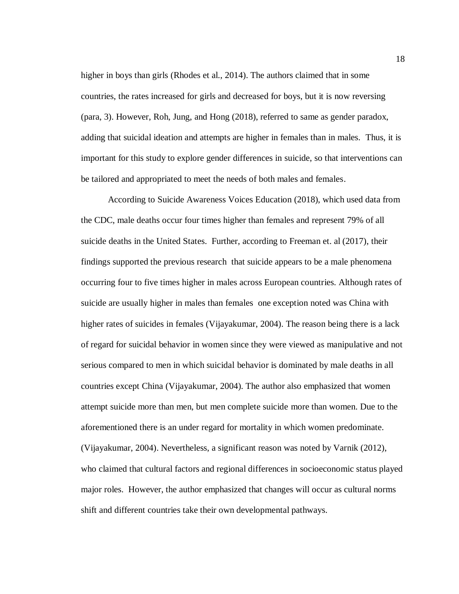higher in boys than girls (Rhodes et al., 2014). The authors claimed that in some countries, the rates increased for girls and decreased for boys, but it is now reversing (para, 3). However, Roh, Jung, and Hong (2018), referred to same as gender paradox, adding that suicidal ideation and attempts are higher in females than in males. Thus, it is important for this study to explore gender differences in suicide, so that interventions can be tailored and appropriated to meet the needs of both males and females.

According to Suicide Awareness Voices Education (2018), which used data from the CDC, male deaths occur four times higher than females and represent 79% of all suicide deaths in the United States. Further, according to Freeman et. al (2017), their findings supported the previous research that suicide appears to be a male phenomena occurring four to five times higher in males across European countries. Although rates of suicide are usually higher in males than females one exception noted was China with higher rates of suicides in females (Vijayakumar, 2004). The reason being there is a lack of regard for suicidal behavior in women since they were viewed as manipulative and not serious compared to men in which suicidal behavior is dominated by male deaths in all countries except China (Vijayakumar, 2004). The author also emphasized that women attempt suicide more than men, but men complete suicide more than women. Due to the aforementioned there is an under regard for mortality in which women predominate. (Vijayakumar, 2004). Nevertheless, a significant reason was noted by Varnik (2012), who claimed that cultural factors and regional differences in socioeconomic status played major roles. However, the author emphasized that changes will occur as cultural norms shift and different countries take their own developmental pathways.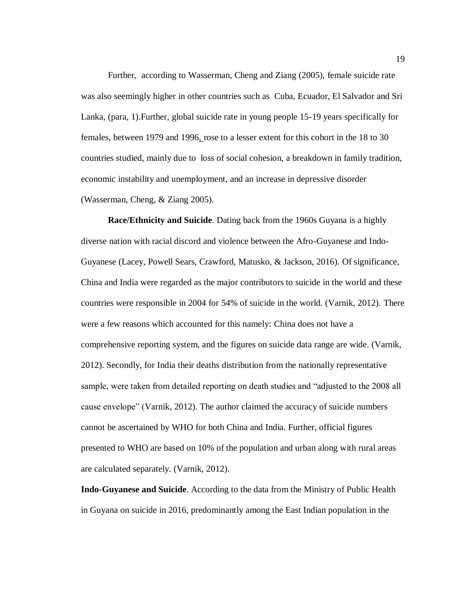Further, according to Wasserman, Cheng and Ziang (2005), female suicide rate was also seemingly higher in other countries such as Cuba, Ecuador, El Salvador and Sri Lanka, (para, 1).Further, global suicide rate in young people 15-19 years specifically for females, between 1979 and 1996, rose to a lesser extent for this cohort in the 18 to 30 countries studied, mainly due to loss of social cohesion, a breakdown in family tradition, economic instability and unemployment, and an increase in depressive disorder (Wasserman, Cheng, & Ziang 2005).

**Race/Ethnicity and Suicide**. Dating back from the 1960s Guyana is a highly diverse nation with racial discord and violence between the Afro-Guyanese and Indo-Guyanese (Lacey, Powell Sears, Crawford, Matusko, & Jackson, 2016). Of significance, China and India were regarded as the major contributors to suicide in the world and these countries were responsible in 2004 for 54% of suicide in the world. (Varnik, 2012). There were a few reasons which accounted for this namely: China does not have a comprehensive reporting system, and the figures on suicide data range are wide. (Varnik, 2012). Secondly, for India their deaths distribution from the nationally representative sample, were taken from detailed reporting on death studies and "adjusted to the 2008 all cause envelope" (Varnik, 2012). The author claimed the accuracy of suicide numbers cannot be ascertained by WHO for both China and India. Further, official figures presented to WHO are based on 10% of the population and urban along with rural areas are calculated separately. (Varnik, 2012).

**Indo-Guyanese and Suicide**. According to the data from the Ministry of Public Health in Guyana on suicide in 2016, predominantly among the East Indian population in the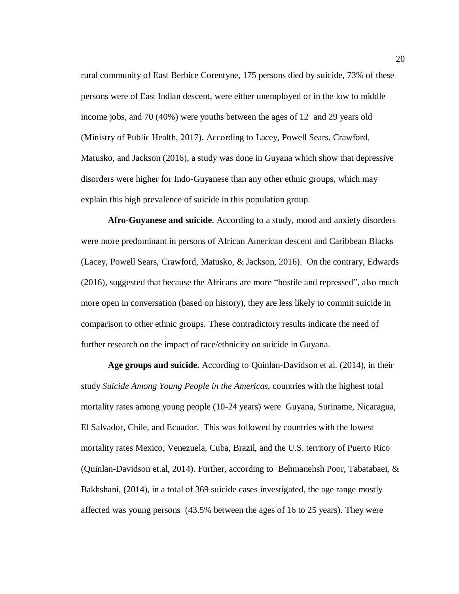rural community of East Berbice Corentyne, 175 persons died by suicide, 73% of these persons were of East Indian descent, were either unemployed or in the low to middle income jobs, and 70 (40%) were youths between the ages of 12 and 29 years old (Ministry of Public Health, 2017). According to Lacey, Powell Sears, Crawford, Matusko, and Jackson (2016), a study was done in Guyana which show that depressive disorders were higher for Indo-Guyanese than any other ethnic groups, which may explain this high prevalence of suicide in this population group.

**Afro-Guyanese and suicide**. According to a study, mood and anxiety disorders were more predominant in persons of African American descent and Caribbean Blacks (Lacey, Powell Sears, Crawford, Matusko, & Jackson, 2016). On the contrary, Edwards (2016), suggested that because the Africans are more "hostile and repressed", also much more open in conversation (based on history), they are less likely to commit suicide in comparison to other ethnic groups. These contradictory results indicate the need of further research on the impact of race/ethnicity on suicide in Guyana.

**Age groups and suicide.** According to Quinlan-Davidson et al. (2014), in their study *Suicide Among Young People in the Americas,* countries with the highest total mortality rates among young people (10-24 years) were Guyana, Suriname, Nicaragua, El Salvador, Chile, and Ecuador. This was followed by countries with the lowest mortality rates Mexico, Venezuela, Cuba, Brazil, and the U.S. territory of Puerto Rico (Quinlan-Davidson et.al, 2014). Further, according to Behmanehsh Poor, Tabatabaei, & Bakhshani, (2014), in a total of 369 suicide cases investigated, the age range mostly affected was young persons (43.5% between the ages of 16 to 25 years). They were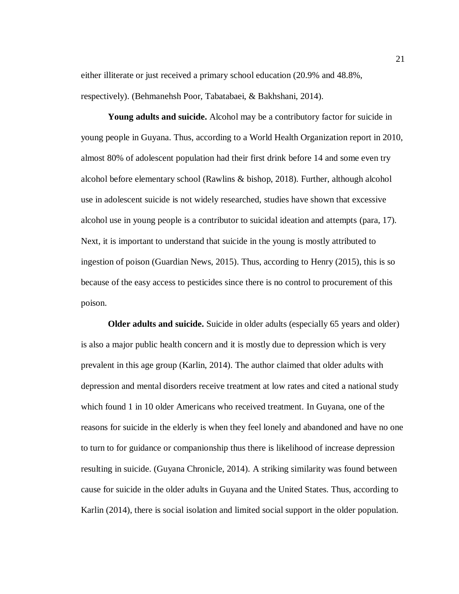either illiterate or just received a primary school education (20.9% and 48.8%, respectively). (Behmanehsh Poor, Tabatabaei, & Bakhshani, 2014).

**Young adults and suicide.** Alcohol may be a contributory factor for suicide in young people in Guyana. Thus, according to a World Health Organization report in 2010, almost 80% of adolescent population had their first drink before 14 and some even try alcohol before elementary school (Rawlins & bishop, 2018). Further, although alcohol use in adolescent suicide is not widely researched, studies have shown that excessive alcohol use in young people is a contributor to suicidal ideation and attempts (para, 17). Next, it is important to understand that suicide in the young is mostly attributed to ingestion of poison (Guardian News, 2015). Thus, according to Henry (2015), this is so because of the easy access to pesticides since there is no control to procurement of this poison.

**Older adults and suicide.** Suicide in older adults (especially 65 years and older) is also a major public health concern and it is mostly due to depression which is very prevalent in this age group (Karlin, 2014). The author claimed that older adults with depression and mental disorders receive treatment at low rates and cited a national study which found 1 in 10 older Americans who received treatment. In Guyana, one of the reasons for suicide in the elderly is when they feel lonely and abandoned and have no one to turn to for guidance or companionship thus there is likelihood of increase depression resulting in suicide. (Guyana Chronicle, 2014). A striking similarity was found between cause for suicide in the older adults in Guyana and the United States. Thus, according to Karlin (2014), there is social isolation and limited social support in the older population.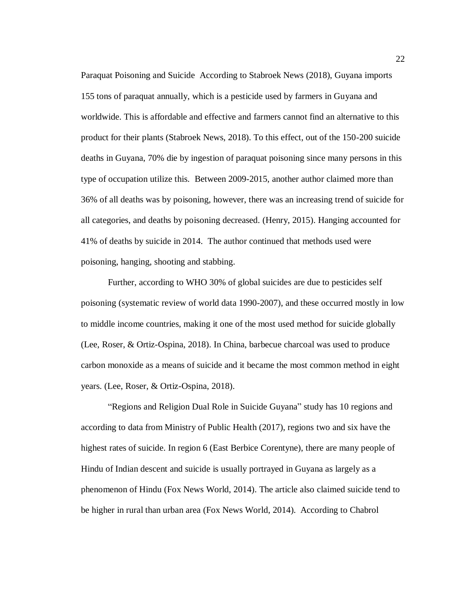Paraquat Poisoning and Suicide According to Stabroek News (2018), Guyana imports 155 tons of paraquat annually, which is a pesticide used by farmers in Guyana and worldwide. This is affordable and effective and farmers cannot find an alternative to this product for their plants (Stabroek News, 2018). To this effect, out of the 150-200 suicide deaths in Guyana, 70% die by ingestion of paraquat poisoning since many persons in this type of occupation utilize this. Between 2009-2015, another author claimed more than 36% of all deaths was by poisoning, however, there was an increasing trend of suicide for all categories, and deaths by poisoning decreased. (Henry, 2015). Hanging accounted for 41% of deaths by suicide in 2014. The author continued that methods used were poisoning, hanging, shooting and stabbing.

Further, according to WHO 30% of global suicides are due to pesticides self poisoning (systematic review of world data 1990-2007), and these occurred mostly in low to middle income countries, making it one of the most used method for suicide globally (Lee, Roser, & Ortiz-Ospina, 2018). In China, barbecue charcoal was used to produce carbon monoxide as a means of suicide and it became the most common method in eight years. (Lee, Roser, & Ortiz-Ospina, 2018).

"Regions and Religion Dual Role in Suicide Guyana" study has 10 regions and according to data from Ministry of Public Health (2017), regions two and six have the highest rates of suicide. In region 6 (East Berbice Corentyne), there are many people of Hindu of Indian descent and suicide is usually portrayed in Guyana as largely as a phenomenon of Hindu (Fox News World, 2014). The article also claimed suicide tend to be higher in rural than urban area (Fox News World, 2014). According to Chabrol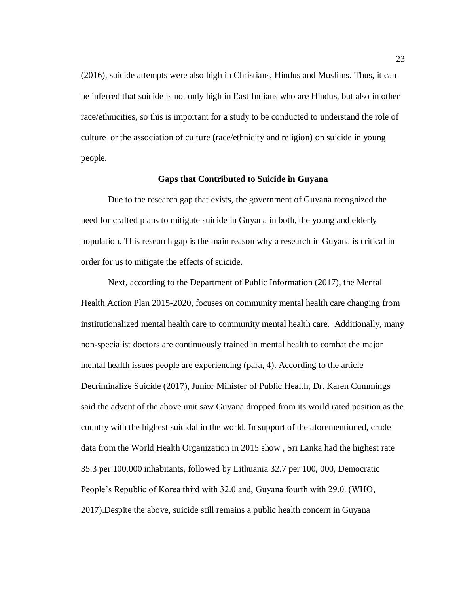(2016), suicide attempts were also high in Christians, Hindus and Muslims. Thus, it can be inferred that suicide is not only high in East Indians who are Hindus, but also in other race/ethnicities, so this is important for a study to be conducted to understand the role of culture or the association of culture (race/ethnicity and religion) on suicide in young people.

### **Gaps that Contributed to Suicide in Guyana**

<span id="page-32-0"></span>Due to the research gap that exists, the government of Guyana recognized the need for crafted plans to mitigate suicide in Guyana in both, the young and elderly population. This research gap is the main reason why a research in Guyana is critical in order for us to mitigate the effects of suicide.

Next, according to the Department of Public Information (2017), the Mental Health Action Plan 2015-2020, focuses on community mental health care changing from institutionalized mental health care to community mental health care. Additionally, many non-specialist doctors are continuously trained in mental health to combat the major mental health issues people are experiencing (para, 4). According to the article Decriminalize Suicide (2017), Junior Minister of Public Health, Dr. Karen Cummings said the advent of the above unit saw Guyana dropped from its world rated position as the country with the highest suicidal in the world. In support of the aforementioned, crude data from the World Health Organization in 2015 show , Sri Lanka had the highest rate 35.3 per 100,000 inhabitants, followed by Lithuania 32.7 per 100, 000, Democratic People's Republic of Korea third with 32.0 and, Guyana fourth with 29.0. (WHO, 2017).Despite the above, suicide still remains a public health concern in Guyana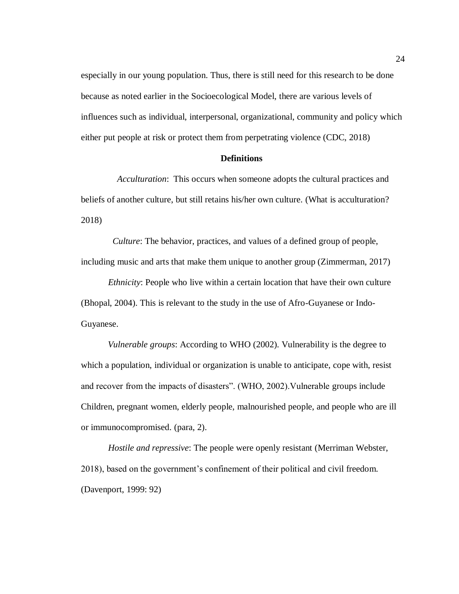especially in our young population. Thus, there is still need for this research to be done because as noted earlier in the Socioecological Model, there are various levels of influences such as individual, interpersonal, organizational, community and policy which either put people at risk or protect them from perpetrating violence (CDC, 2018)

### <span id="page-33-0"></span> **Definitions**

 *Acculturation*: This occurs when someone adopts the cultural practices and beliefs of another culture, but still retains his/her own culture. (What is acculturation? 2018)

 *Culture*: The behavior, practices, and values of a defined group of people, including music and arts that make them unique to another group (Zimmerman, 2017)

 *Ethnicity*: People who live within a certain location that have their own culture (Bhopal, 2004). This is relevant to the study in the use of Afro-Guyanese or Indo-Guyanese.

*Vulnerable groups*: According to WHO (2002). Vulnerability is the degree to which a population, individual or organization is unable to anticipate, cope with, resist and recover from the impacts of disasters". (WHO, 2002).Vulnerable groups include Children, pregnant women, elderly people, malnourished people, and people who are ill or immunocompromised. (para, 2).

 *Hostile and repressive*: The people were openly resistant (Merriman Webster, 2018), based on the government's confinement of their political and civil freedom. (Davenport, 1999: 92)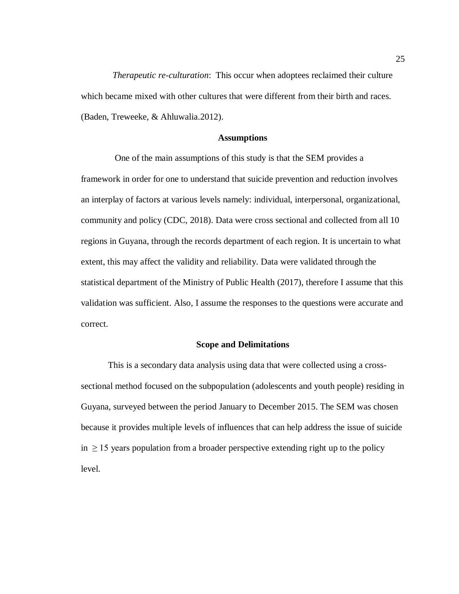*Therapeutic re-culturation*: This occur when adoptees reclaimed their culture which became mixed with other cultures that were different from their birth and races. (Baden, Treweeke, & Ahluwalia.2012).

### **Assumptions**

<span id="page-34-0"></span> One of the main assumptions of this study is that the SEM provides a framework in order for one to understand that suicide prevention and reduction involves an interplay of factors at various levels namely: individual, interpersonal, organizational, community and policy (CDC, 2018). Data were cross sectional and collected from all 10 regions in Guyana, through the records department of each region. It is uncertain to what extent, this may affect the validity and reliability. Data were validated through the statistical department of the Ministry of Public Health (2017), therefore I assume that this validation was sufficient. Also, I assume the responses to the questions were accurate and correct.

### **Scope and Delimitations**

<span id="page-34-1"></span>This is a secondary data analysis using data that were collected using a crosssectional method focused on the subpopulation (adolescents and youth people) residing in Guyana, surveyed between the period January to December 2015. The SEM was chosen because it provides multiple levels of influences that can help address the issue of suicide  $in \geq 15$  years population from a broader perspective extending right up to the policy level.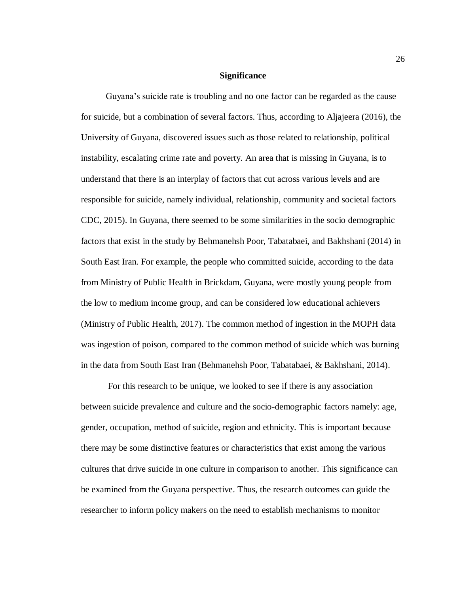### **Significance**

<span id="page-35-0"></span> Guyana's suicide rate is troubling and no one factor can be regarded as the cause for suicide, but a combination of several factors. Thus, according to Aljajeera (2016), the University of Guyana, discovered issues such as those related to relationship, political instability, escalating crime rate and poverty. An area that is missing in Guyana, is to understand that there is an interplay of factors that cut across various levels and are responsible for suicide, namely individual, relationship, community and societal factors CDC, 2015). In Guyana, there seemed to be some similarities in the socio demographic factors that exist in the study by Behmanehsh Poor, Tabatabaei, and Bakhshani (2014) in South East Iran. For example, the people who committed suicide, according to the data from Ministry of Public Health in Brickdam, Guyana, were mostly young people from the low to medium income group, and can be considered low educational achievers (Ministry of Public Health, 2017). The common method of ingestion in the MOPH data was ingestion of poison, compared to the common method of suicide which was burning in the data from South East Iran (Behmanehsh Poor, Tabatabaei, & Bakhshani, 2014).

For this research to be unique, we looked to see if there is any association between suicide prevalence and culture and the socio-demographic factors namely: age, gender, occupation, method of suicide, region and ethnicity. This is important because there may be some distinctive features or characteristics that exist among the various cultures that drive suicide in one culture in comparison to another. This significance can be examined from the Guyana perspective. Thus, the research outcomes can guide the researcher to inform policy makers on the need to establish mechanisms to monitor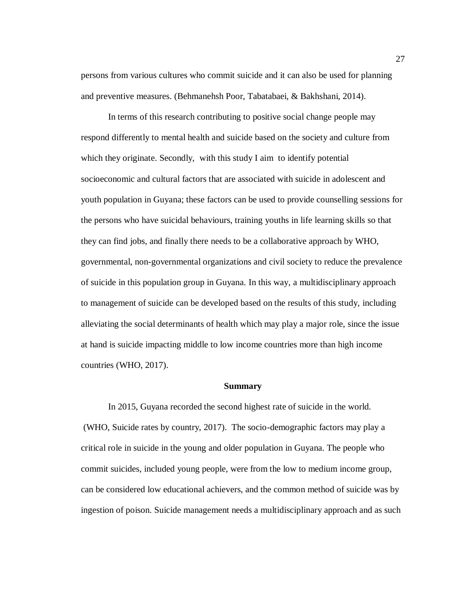persons from various cultures who commit suicide and it can also be used for planning and preventive measures. (Behmanehsh Poor, Tabatabaei, & Bakhshani, 2014).

 In terms of this research contributing to positive social change people may respond differently to mental health and suicide based on the society and culture from which they originate. Secondly, with this study I aim to identify potential socioeconomic and cultural factors that are associated with suicide in adolescent and youth population in Guyana; these factors can be used to provide counselling sessions for the persons who have suicidal behaviours, training youths in life learning skills so that they can find jobs, and finally there needs to be a collaborative approach by WHO, governmental, non-governmental organizations and civil society to reduce the prevalence of suicide in this population group in Guyana. In this way, a multidisciplinary approach to management of suicide can be developed based on the results of this study, including alleviating the social determinants of health which may play a major role, since the issue at hand is suicide impacting middle to low income countries more than high income countries (WHO, 2017).

### **Summary**

 In 2015, Guyana recorded the second highest rate of suicide in the world. (WHO, Suicide rates by country, 2017). The socio-demographic factors may play a critical role in suicide in the young and older population in Guyana. The people who commit suicides, included young people, were from the low to medium income group, can be considered low educational achievers, and the common method of suicide was by ingestion of poison. Suicide management needs a multidisciplinary approach and as such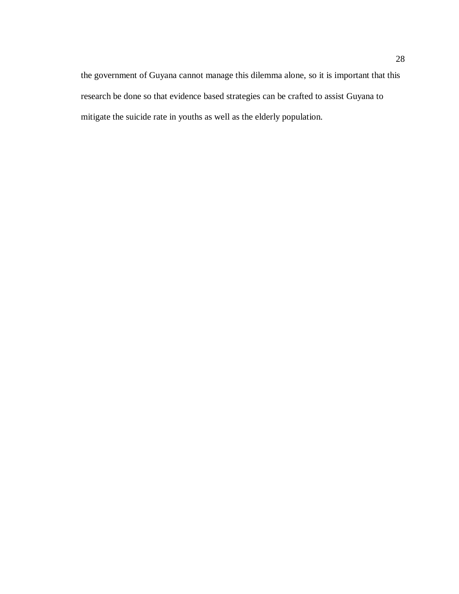the government of Guyana cannot manage this dilemma alone, so it is important that this research be done so that evidence based strategies can be crafted to assist Guyana to mitigate the suicide rate in youths as well as the elderly population.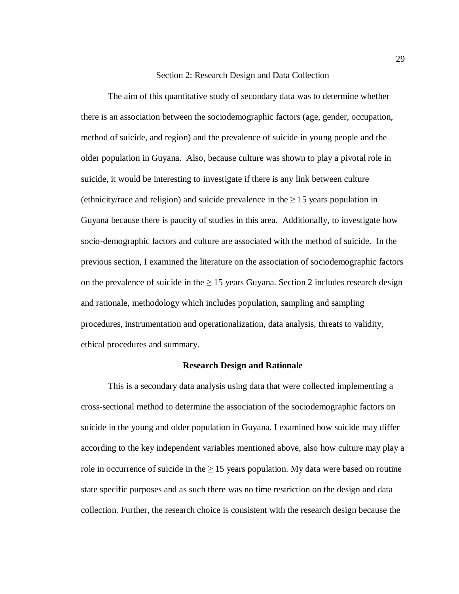#### Section 2: Research Design and Data Collection

The aim of this quantitative study of secondary data was to determine whether there is an association between the sociodemographic factors (age, gender, occupation, method of suicide, and region) and the prevalence of suicide in young people and the older population in Guyana. Also, because culture was shown to play a pivotal role in suicide, it would be interesting to investigate if there is any link between culture (ethnicity/race and religion) and suicide prevalence in the  $\geq 15$  years population in Guyana because there is paucity of studies in this area. Additionally, to investigate how socio-demographic factors and culture are associated with the method of suicide. In the previous section, I examined the literature on the association of sociodemographic factors on the prevalence of suicide in the  $\geq 15$  years Guyana. Section 2 includes research design and rationale, methodology which includes population, sampling and sampling procedures, instrumentation and operationalization, data analysis, threats to validity, ethical procedures and summary.

### **Research Design and Rationale**

This is a secondary data analysis using data that were collected implementing a cross-sectional method to determine the association of the sociodemographic factors on suicide in the young and older population in Guyana. I examined how suicide may differ according to the key independent variables mentioned above, also how culture may play a role in occurrence of suicide in the  $\geq 15$  years population. My data were based on routine state specific purposes and as such there was no time restriction on the design and data collection. Further, the research choice is consistent with the research design because the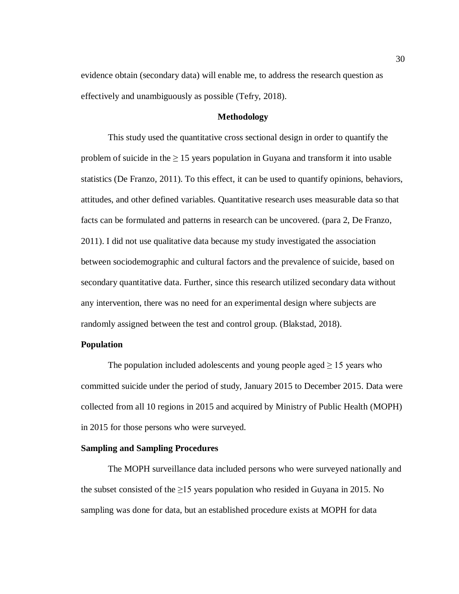evidence obtain (secondary data) will enable me, to address the research question as effectively and unambiguously as possible (Tefry, 2018).

## **Methodology**

This study used the quantitative cross sectional design in order to quantify the problem of suicide in the  $\geq 15$  years population in Guyana and transform it into usable statistics (De Franzo, 2011). To this effect, it can be used to quantify opinions, behaviors, attitudes, and other defined variables. Quantitative research uses measurable data so that facts can be formulated and patterns in research can be uncovered. (para 2, De Franzo, 2011). I did not use qualitative data because my study investigated the association between sociodemographic and cultural factors and the prevalence of suicide, based on secondary quantitative data. Further, since this research utilized secondary data without any intervention, there was no need for an experimental design where subjects are randomly assigned between the test and control group. (Blakstad, 2018).

# **Population**

The population included adolescents and young people aged  $\geq 15$  years who committed suicide under the period of study, January 2015 to December 2015. Data were collected from all 10 regions in 2015 and acquired by Ministry of Public Health (MOPH) in 2015 for those persons who were surveyed.

## **Sampling and Sampling Procedures**

The MOPH surveillance data included persons who were surveyed nationally and the subset consisted of the  $\geq$ 15 years population who resided in Guyana in 2015. No sampling was done for data, but an established procedure exists at MOPH for data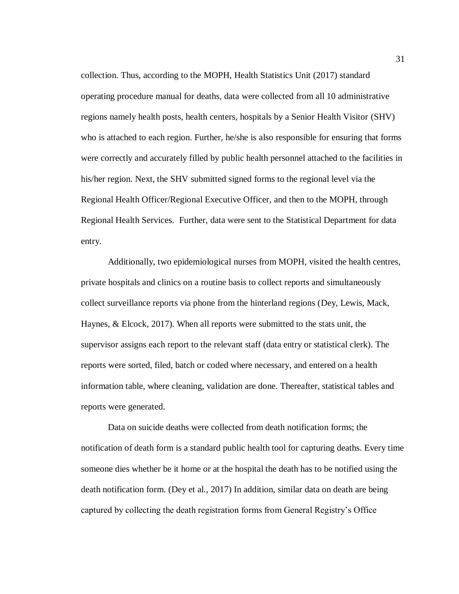collection. Thus, according to the MOPH, Health Statistics Unit (2017) standard operating procedure manual for deaths, data were collected from all 10 administrative regions namely health posts, health centers, hospitals by a Senior Health Visitor (SHV) who is attached to each region. Further, he/she is also responsible for ensuring that forms were correctly and accurately filled by public health personnel attached to the facilities in his/her region. Next, the SHV submitted signed forms to the regional level via the Regional Health Officer/Regional Executive Officer, and then to the MOPH, through Regional Health Services. Further, data were sent to the Statistical Department for data entry.

Additionally, two epidemiological nurses from MOPH, visited the health centres, private hospitals and clinics on a routine basis to collect reports and simultaneously collect surveillance reports via phone from the hinterland regions (Dey, Lewis, Mack, Haynes, & Elcock, 2017). When all reports were submitted to the stats unit, the supervisor assigns each report to the relevant staff (data entry or statistical clerk). The reports were sorted, filed, batch or coded where necessary, and entered on a health information table, where cleaning, validation are done. Thereafter, statistical tables and reports were generated.

Data on suicide deaths were collected from death notification forms; the notification of death form is a standard public health tool for capturing deaths. Every time someone dies whether be it home or at the hospital the death has to be notified using the death notification form. (Dey et al., 2017) In addition, similar data on death are being captured by collecting the death registration forms from General Registry's Office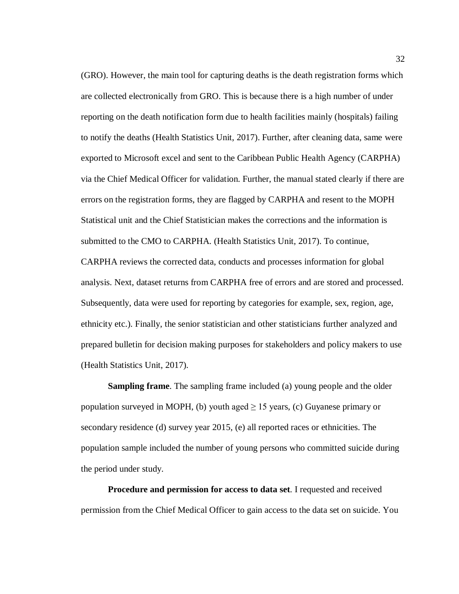(GRO). However, the main tool for capturing deaths is the death registration forms which are collected electronically from GRO. This is because there is a high number of under reporting on the death notification form due to health facilities mainly (hospitals) failing to notify the deaths (Health Statistics Unit, 2017). Further, after cleaning data, same were exported to Microsoft excel and sent to the Caribbean Public Health Agency (CARPHA) via the Chief Medical Officer for validation. Further, the manual stated clearly if there are errors on the registration forms, they are flagged by CARPHA and resent to the MOPH Statistical unit and the Chief Statistician makes the corrections and the information is submitted to the CMO to CARPHA. (Health Statistics Unit, 2017). To continue, CARPHA reviews the corrected data, conducts and processes information for global analysis. Next, dataset returns from CARPHA free of errors and are stored and processed. Subsequently, data were used for reporting by categories for example, sex, region, age, ethnicity etc.). Finally, the senior statistician and other statisticians further analyzed and prepared bulletin for decision making purposes for stakeholders and policy makers to use (Health Statistics Unit, 2017).

**Sampling frame**. The sampling frame included (a) young people and the older population surveyed in MOPH, (b) youth aged  $\geq 15$  years, (c) Guyanese primary or secondary residence (d) survey year 2015, (e) all reported races or ethnicities. The population sample included the number of young persons who committed suicide during the period under study.

**Procedure and permission for access to data set**. I requested and received permission from the Chief Medical Officer to gain access to the data set on suicide. You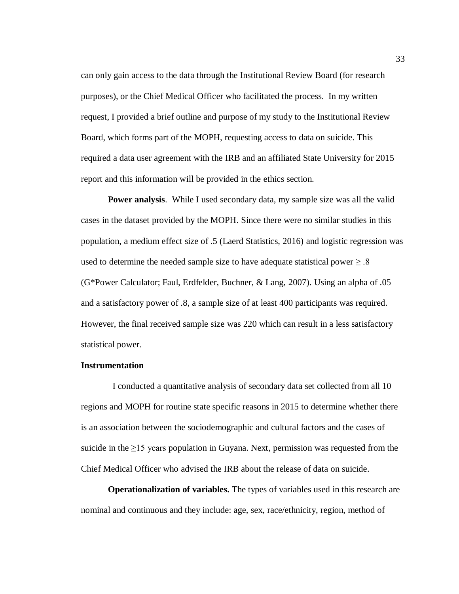can only gain access to the data through the Institutional Review Board (for research purposes), or the Chief Medical Officer who facilitated the process. In my written request, I provided a brief outline and purpose of my study to the Institutional Review Board, which forms part of the MOPH, requesting access to data on suicide. This required a data user agreement with the IRB and an affiliated State University for 2015 report and this information will be provided in the ethics section.

**Power analysis**. While I used secondary data, my sample size was all the valid cases in the dataset provided by the MOPH. Since there were no similar studies in this population, a medium effect size of .5 (Laerd Statistics, 2016) and logistic regression was used to determine the needed sample size to have adequate statistical power  $\geq 0.8$ (G\*Power Calculator; Faul, Erdfelder, Buchner, & Lang, 2007). Using an alpha of .05 and a satisfactory power of .8, a sample size of at least 400 participants was required. However, the final received sample size was 220 which can result in a less satisfactory statistical power.

### **Instrumentation**

 I conducted a quantitative analysis of secondary data set collected from all 10 regions and MOPH for routine state specific reasons in 2015 to determine whether there is an association between the sociodemographic and cultural factors and the cases of suicide in the  $\geq$ 15 years population in Guyana. Next, permission was requested from the Chief Medical Officer who advised the IRB about the release of data on suicide.

**Operationalization of variables.** The types of variables used in this research are nominal and continuous and they include: age, sex, race/ethnicity, region, method of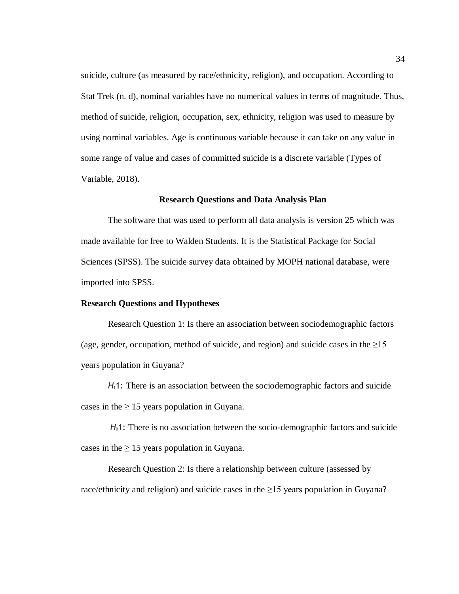suicide, culture (as measured by race/ethnicity, religion), and occupation. According to Stat Trek (n. d), nominal variables have no numerical values in terms of magnitude. Thus, method of suicide, religion, occupation, sex, ethnicity, religion was used to measure by using nominal variables. Age is continuous variable because it can take on any value in some range of value and cases of committed suicide is a discrete variable (Types of Variable, 2018).

#### **Research Questions and Data Analysis Plan**

The software that was used to perform all data analysis is version 25 which was made available for free to Walden Students. It is the Statistical Package for Social Sciences (SPSS). The suicide survey data obtained by MOPH national database, were imported into SPSS.

### **Research Questions and Hypotheses**

Research Question 1: Is there an association between sociodemographic factors (age, gender, occupation, method of suicide, and region) and suicide cases in the  $\geq 15$ years population in Guyana?

*H*<sub>1</sub>1: There is an association between the sociodemographic factors and suicide cases in the  $\geq 15$  years population in Guyana.

*H*01: There is no association between the socio-demographic factors and suicide cases in the  $\geq 15$  years population in Guyana.

Research Question 2: Is there a relationship between culture (assessed by race/ethnicity and religion) and suicide cases in the  $\geq$ 15 years population in Guyana?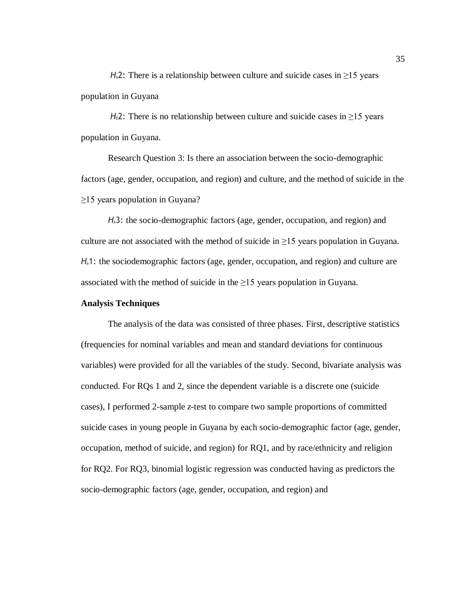*H*<sub>a</sub>2: There is a relationship between culture and suicide cases in  $\geq$ 15 years population in Guyana

*H* $_0$ 2: There is no relationship between culture and suicide cases in  $\geq$ 15 years population in Guyana.

Research Question 3: Is there an association between the socio-demographic factors (age, gender, occupation, and region) and culture, and the method of suicide in the ≥15 years population in Guyana?

*H*a3: the socio-demographic factors (age, gender, occupation, and region) and culture are not associated with the method of suicide in  $\geq$ 15 years population in Guyana. *H*<sub>a</sub>1: the sociodemographic factors (age, gender, occupation, and region) and culture are associated with the method of suicide in the  $\geq$ 15 years population in Guyana.

### **Analysis Techniques**

The analysis of the data was consisted of three phases. First, descriptive statistics (frequencies for nominal variables and mean and standard deviations for continuous variables) were provided for all the variables of the study. Second, bivariate analysis was conducted. For RQs 1 and 2, since the dependent variable is a discrete one (suicide cases), I performed 2-sample *z*-test to compare two sample proportions of committed suicide cases in young people in Guyana by each socio-demographic factor (age, gender, occupation, method of suicide, and region) for RQ1, and by race/ethnicity and religion for RQ2. For RQ3, binomial logistic regression was conducted having as predictors the socio-demographic factors (age, gender, occupation, and region) and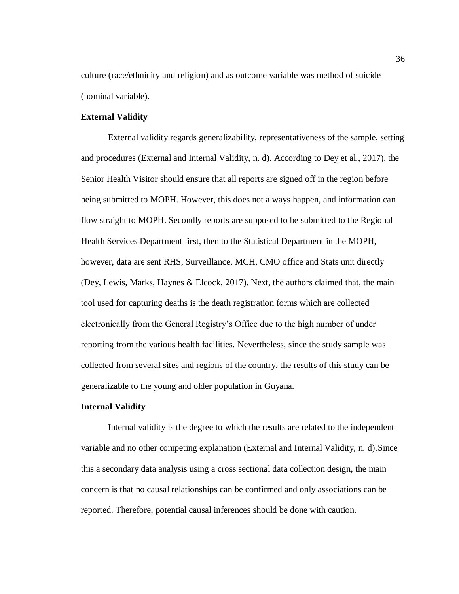culture (race/ethnicity and religion) and as outcome variable was method of suicide (nominal variable).

# **External Validity**

External validity regards generalizability, representativeness of the sample, setting and procedures (External and Internal Validity, n. d). According to Dey et al., 2017), the Senior Health Visitor should ensure that all reports are signed off in the region before being submitted to MOPH. However, this does not always happen, and information can flow straight to MOPH. Secondly reports are supposed to be submitted to the Regional Health Services Department first, then to the Statistical Department in the MOPH, however, data are sent RHS, Surveillance, MCH, CMO office and Stats unit directly (Dey, Lewis, Marks, Haynes  $\&$  Elcock, 2017). Next, the authors claimed that, the main tool used for capturing deaths is the death registration forms which are collected electronically from the General Registry's Office due to the high number of under reporting from the various health facilities. Nevertheless, since the study sample was collected from several sites and regions of the country, the results of this study can be generalizable to the young and older population in Guyana.

### **Internal Validity**

Internal validity is the degree to which the results are related to the independent variable and no other competing explanation (External and Internal Validity, n. d).Since this a secondary data analysis using a cross sectional data collection design, the main concern is that no causal relationships can be confirmed and only associations can be reported. Therefore, potential causal inferences should be done with caution.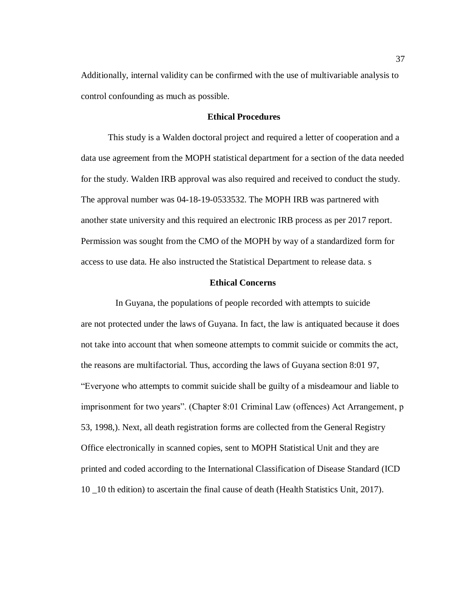Additionally, internal validity can be confirmed with the use of multivariable analysis to control confounding as much as possible.

## **Ethical Procedures**

This study is a Walden doctoral project and required a letter of cooperation and a data use agreement from the MOPH statistical department for a section of the data needed for the study. Walden IRB approval was also required and received to conduct the study. The approval number was 04-18-19-0533532. The MOPH IRB was partnered with another state university and this required an electronic IRB process as per 2017 report. Permission was sought from the CMO of the MOPH by way of a standardized form for access to use data. He also instructed the Statistical Department to release data. s

## **Ethical Concerns**

In Guyana, the populations of people recorded with attempts to suicide are not protected under the laws of Guyana. In fact, the law is antiquated because it does not take into account that when someone attempts to commit suicide or commits the act, the reasons are multifactorial. Thus, according the laws of Guyana section 8:01 97, "Everyone who attempts to commit suicide shall be guilty of a misdeamour and liable to imprisonment for two years". (Chapter 8:01 Criminal Law (offences) Act Arrangement, p 53, 1998,). Next, all death registration forms are collected from the General Registry Office electronically in scanned copies, sent to MOPH Statistical Unit and they are printed and coded according to the International Classification of Disease Standard (ICD 10 \_10 th edition) to ascertain the final cause of death (Health Statistics Unit, 2017).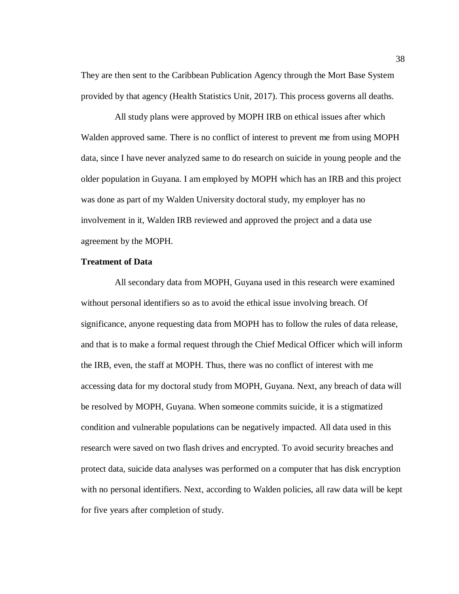They are then sent to the Caribbean Publication Agency through the Mort Base System provided by that agency (Health Statistics Unit, 2017). This process governs all deaths.

 All study plans were approved by MOPH IRB on ethical issues after which Walden approved same. There is no conflict of interest to prevent me from using MOPH data, since I have never analyzed same to do research on suicide in young people and the older population in Guyana. I am employed by MOPH which has an IRB and this project was done as part of my Walden University doctoral study, my employer has no involvement in it, Walden IRB reviewed and approved the project and a data use agreement by the MOPH.

# **Treatment of Data**

 All secondary data from MOPH, Guyana used in this research were examined without personal identifiers so as to avoid the ethical issue involving breach. Of significance, anyone requesting data from MOPH has to follow the rules of data release, and that is to make a formal request through the Chief Medical Officer which will inform the IRB, even, the staff at MOPH. Thus, there was no conflict of interest with me accessing data for my doctoral study from MOPH, Guyana. Next, any breach of data will be resolved by MOPH, Guyana. When someone commits suicide, it is a stigmatized condition and vulnerable populations can be negatively impacted. All data used in this research were saved on two flash drives and encrypted. To avoid security breaches and protect data, suicide data analyses was performed on a computer that has disk encryption with no personal identifiers. Next, according to Walden policies, all raw data will be kept for five years after completion of study.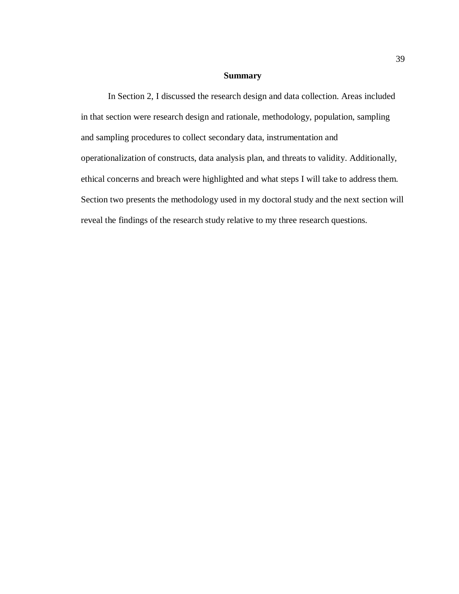# **Summary**

In Section 2, I discussed the research design and data collection. Areas included in that section were research design and rationale, methodology, population, sampling and sampling procedures to collect secondary data, instrumentation and operationalization of constructs, data analysis plan, and threats to validity. Additionally, ethical concerns and breach were highlighted and what steps I will take to address them. Section two presents the methodology used in my doctoral study and the next section will reveal the findings of the research study relative to my three research questions.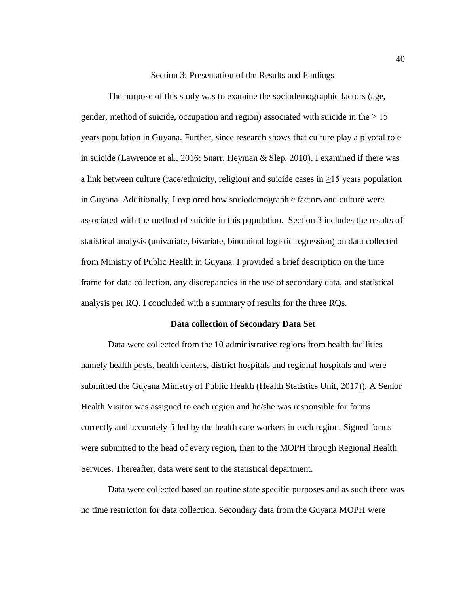Section 3: Presentation of the Results and Findings

The purpose of this study was to examine the sociodemographic factors (age, gender, method of suicide, occupation and region) associated with suicide in the  $\geq 15$ years population in Guyana. Further, since research shows that culture play a pivotal role in suicide (Lawrence et al., 2016; Snarr, Heyman & Slep, 2010), I examined if there was a link between culture (race/ethnicity, religion) and suicide cases in  $\geq$ 15 years population in Guyana. Additionally, I explored how sociodemographic factors and culture were associated with the method of suicide in this population. Section 3 includes the results of statistical analysis (univariate, bivariate, binominal logistic regression) on data collected from Ministry of Public Health in Guyana. I provided a brief description on the time frame for data collection, any discrepancies in the use of secondary data, and statistical analysis per RQ. I concluded with a summary of results for the three RQs.

### **Data collection of Secondary Data Set**

Data were collected from the 10 administrative regions from health facilities namely health posts, health centers, district hospitals and regional hospitals and were submitted the Guyana Ministry of Public Health (Health Statistics Unit, 2017)). A Senior Health Visitor was assigned to each region and he/she was responsible for forms correctly and accurately filled by the health care workers in each region. Signed forms were submitted to the head of every region, then to the MOPH through Regional Health Services. Thereafter, data were sent to the statistical department.

Data were collected based on routine state specific purposes and as such there was no time restriction for data collection. Secondary data from the Guyana MOPH were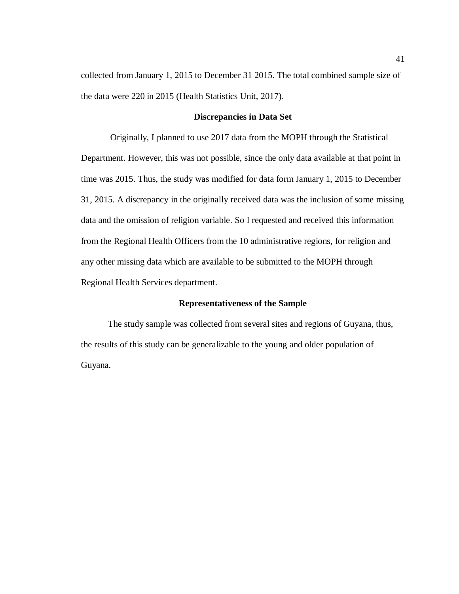collected from January 1, 2015 to December 31 2015. The total combined sample size of the data were 220 in 2015 (Health Statistics Unit, 2017).

### **Discrepancies in Data Set**

Originally, I planned to use 2017 data from the MOPH through the Statistical Department. However, this was not possible, since the only data available at that point in time was 2015. Thus, the study was modified for data form January 1, 2015 to December 31, 2015. A discrepancy in the originally received data was the inclusion of some missing data and the omission of religion variable. So I requested and received this information from the Regional Health Officers from the 10 administrative regions, for religion and any other missing data which are available to be submitted to the MOPH through Regional Health Services department.

## **Representativeness of the Sample**

The study sample was collected from several sites and regions of Guyana, thus, the results of this study can be generalizable to the young and older population of Guyana.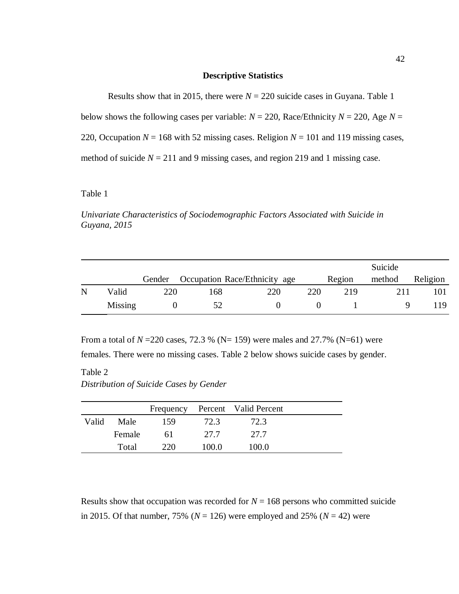## **Descriptive Statistics**

Results show that in 2015, there were  $N = 220$  suicide cases in Guyana. Table 1

below shows the following cases per variable:  $N = 220$ , Race/Ethnicity  $N = 220$ , Age  $N =$ 

220, Occupation  $N = 168$  with 52 missing cases. Religion  $N = 101$  and 119 missing cases,

method of suicide  $N = 211$  and 9 missing cases, and region 219 and 1 missing case.

# Table 1

*Univariate Characteristics of Sociodemographic Factors Associated with Suicide in Guyana, 2015*

|   |         |        |     |                               |     |        | Suicide |          |
|---|---------|--------|-----|-------------------------------|-----|--------|---------|----------|
|   |         | Gender |     | Occupation Race/Ethnicity age |     | Region | method  | Religion |
| N | Valid   | 220    | 168 | 220                           | 220 | 219    | 211     | 101      |
|   | Missing |        | 52  |                               |     |        |         | 19       |

From a total of  $N = 220$  cases, 72.3 % (N= 159) were males and 27.7% (N=61) were

females. There were no missing cases. Table 2 below shows suicide cases by gender.

# Table 2 *Distribution of Suicide Cases by Gender*

|       |        |     |       | Frequency Percent Valid Percent |  |
|-------|--------|-----|-------|---------------------------------|--|
| Valid | Male   | 159 | 72.3  | 72.3                            |  |
|       | Female | 61  | 27.7  | 27.7                            |  |
|       | Total  | 220 | 100.0 | 100.0                           |  |

Results show that occupation was recorded for  $N = 168$  persons who committed suicide in 2015. Of that number, 75% ( $N = 126$ ) were employed and 25% ( $N = 42$ ) were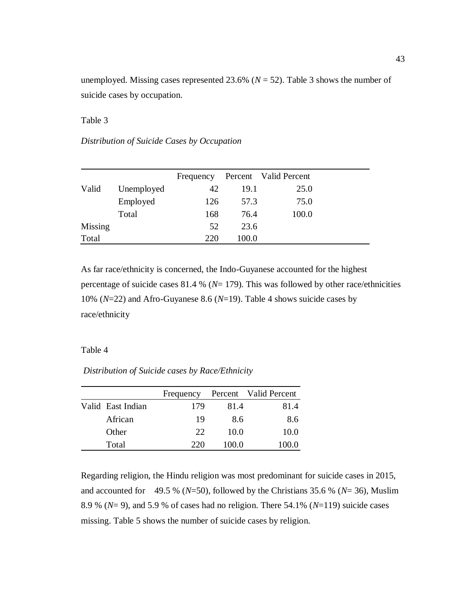unemployed. Missing cases represented 23.6% ( $N = 52$ ). Table 3 shows the number of suicide cases by occupation.

Table 3

*Distribution of Suicide Cases by Occupation*

|         |            | Frequency |       | Percent Valid Percent |
|---------|------------|-----------|-------|-----------------------|
| Valid   | Unemployed | 42        | 19.1  | 25.0                  |
|         | Employed   | 126       | 57.3  | 75.0                  |
|         | Total      | 168       | 76.4  | 100.0                 |
| Missing |            | 52        | 23.6  |                       |
| Total   |            | 220       | 100.0 |                       |

As far race/ethnicity is concerned, the Indo-Guyanese accounted for the highest percentage of suicide cases 81.4 % (*N*= 179). This was followed by other race/ethnicities 10% (*N*=22) and Afro-Guyanese 8.6 (*N*=19). Table 4 shows suicide cases by race/ethnicity

### Table 4

*Distribution of Suicide cases by Race/Ethnicity*

|                   | Frequency |       | Percent Valid Percent |
|-------------------|-----------|-------|-----------------------|
| Valid East Indian | 179       | 81.4  | 81.4                  |
| African           | 19        | 8.6   | 8.6                   |
| Other             | 22        | 10.0  | 10.0                  |
| Total             | 220       | 100.0 | 100.0                 |

Regarding religion, the Hindu religion was most predominant for suicide cases in 2015, and accounted for 49.5 % (*N*=50), followed by the Christians 35.6 % (*N*= 36), Muslim 8.9 % (*N*= 9), and 5.9 % of cases had no religion. There 54.1% (*N*=119) suicide cases missing. Table 5 shows the number of suicide cases by religion.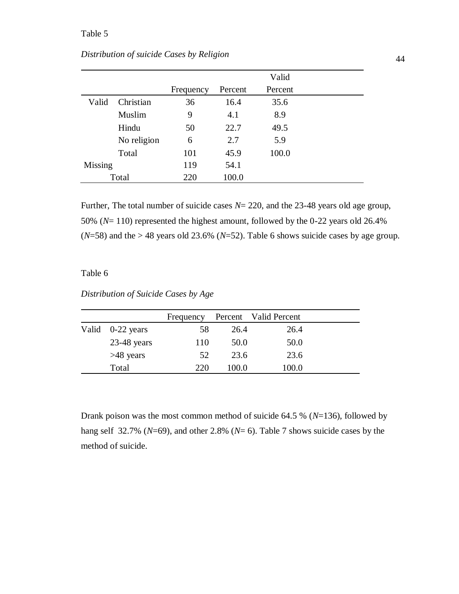|         |             |           |         | Valid   |  |
|---------|-------------|-----------|---------|---------|--|
|         |             | Frequency | Percent | Percent |  |
| Valid   | Christian   | 36        | 16.4    | 35.6    |  |
|         | Muslim      | 9         | 4.1     | 8.9     |  |
|         | Hindu       | 50        | 22.7    | 49.5    |  |
|         | No religion | 6         | 2.7     | 5.9     |  |
|         | Total       | 101       | 45.9    | 100.0   |  |
| Missing |             | 119       | 54.1    |         |  |
| Total   |             | 220       | 100.0   |         |  |

Further, The total number of suicide cases *N*= 220, and the 23-48 years old age group, 50% (*N*= 110) represented the highest amount, followed by the 0-22 years old 26.4%  $(N=58)$  and the > 48 years old 23.6% ( $N=52$ ). Table 6 shows suicide cases by age group.

# Table 6

*Distribution of Suicide Cases by Age*

|                  | Frequency |       | Percent Valid Percent |  |
|------------------|-----------|-------|-----------------------|--|
| Valid 0-22 years | 58        | 26.4  | 26.4                  |  |
| $23-48$ years    | 110       | 50.0  | 50.0                  |  |
| $>48$ years      | 52        | 23.6  | 23.6                  |  |
| Total            | 220       | 100.0 | 100.0                 |  |

Drank poison was the most common method of suicide 64.5 % (*N*=136), followed by hang self 32.7% (*N*=69), and other 2.8% (*N*= 6). Table 7 shows suicide cases by the method of suicide.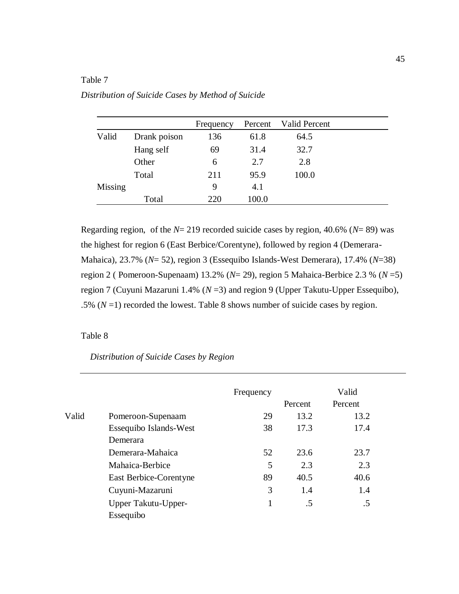# Table 7

| Distribution of Suicide Cases by Method of Suicide |  |  |
|----------------------------------------------------|--|--|
|                                                    |  |  |

|         |              | Frequency | Percent | <b>Valid Percent</b> |
|---------|--------------|-----------|---------|----------------------|
| Valid   | Drank poison | 136       | 61.8    | 64.5                 |
|         | Hang self    | 69        | 31.4    | 32.7                 |
|         | Other        | 6         | 2.7     | 2.8                  |
|         | Total        | 211       | 95.9    | 100.0                |
| Missing |              | 9         | 4.1     |                      |
|         | Total        | 220       | 100.0   |                      |

Regarding region, of the *N*= 219 recorded suicide cases by region, 40.6% (*N*= 89) was the highest for region 6 (East Berbice/Corentyne), followed by region 4 (Demerara-Mahaica), 23.7% (*N*= 52), region 3 (Essequibo Islands-West Demerara), 17.4% (*N*=38) region 2 ( Pomeroon-Supenaam) 13.2% (*N*= 29), region 5 Mahaica-Berbice 2.3 % (*N* =5) region 7 (Cuyuni Mazaruni 1.4% (*N* =3) and region 9 (Upper Takutu-Upper Essequibo), .5%  $(N=1)$  recorded the lowest. Table 8 shows number of suicide cases by region.

# Table 8

# *Distribution of Suicide Cases by Region*

|       |                        | Frequency |         | Valid   |  |
|-------|------------------------|-----------|---------|---------|--|
|       |                        |           | Percent | Percent |  |
| Valid | Pomeroon-Supenaam      | 29        | 13.2    | 13.2    |  |
|       | Essequibo Islands-West | 38        | 17.3    | 17.4    |  |
|       | Demerara               |           |         |         |  |
|       | Demerara-Mahaica       | 52        | 23.6    | 23.7    |  |
|       | Mahaica-Berbice        | 5         | 2.3     | 2.3     |  |
|       | East Berbice-Corentyne | 89        | 40.5    | 40.6    |  |
|       | Cuyuni-Mazaruni        | 3         | 1.4     | 1.4     |  |
|       | Upper Takutu-Upper-    |           | .5      | .5      |  |
|       | Essequibo              |           |         |         |  |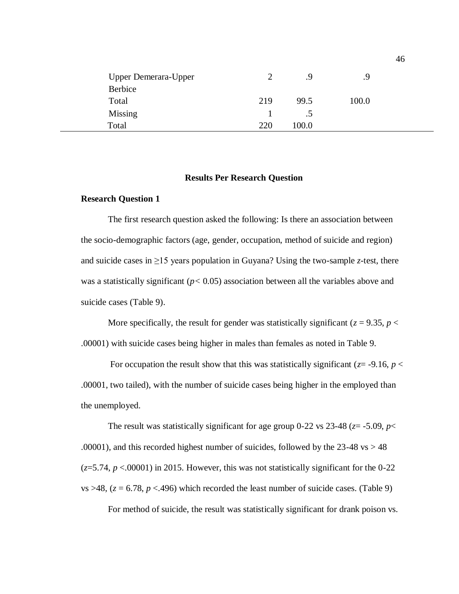| <b>Upper Demerara-Upper</b><br>Berbice |     | .9      | .9    |  |
|----------------------------------------|-----|---------|-------|--|
| Total                                  | 219 | 99.5    | 100.0 |  |
| <b>Missing</b>                         |     | $\cdot$ |       |  |
| Total                                  | 220 | 100.0   |       |  |

### **Results Per Research Question**

## **Research Question 1**

The first research question asked the following: Is there an association between the socio-demographic factors (age, gender, occupation, method of suicide and region) and suicide cases in  $\geq$ 15 years population in Guyana? Using the two-sample *z*-test, there was a statistically significant (*p<* 0.05) association between all the variables above and suicide cases (Table 9).

More specifically, the result for gender was statistically significant ( $z = 9.35$ ,  $p <$ .00001) with suicide cases being higher in males than females as noted in Table 9.

For occupation the result show that this was statistically significant ( $z = -9.16$ ,  $p <$ .00001, two tailed), with the number of suicide cases being higher in the employed than the unemployed.

The result was statistically significant for age group 0-22 vs 23-48 ( $z = -5.09$ ,  $p <$ .00001), and this recorded highest number of suicides, followed by the  $23-48$  vs  $> 48$  $(z=5.74, p<0.0001)$  in 2015. However, this was not statistically significant for the 0-22 vs  $>48$ , ( $z = 6.78$ ,  $p < .496$ ) which recorded the least number of suicide cases. (Table 9)

For method of suicide, the result was statistically significant for drank poison vs.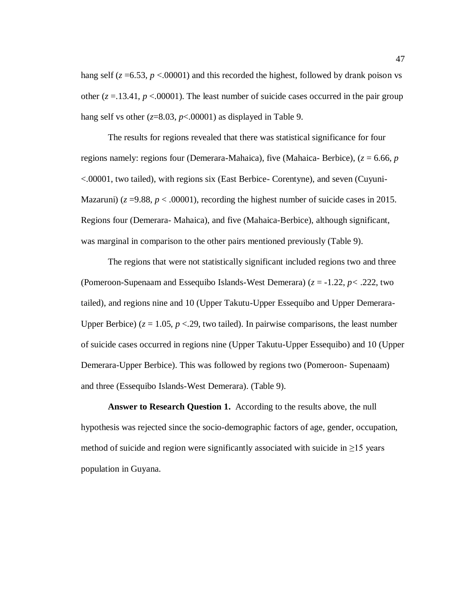hang self  $(z = 6.53, p < 0.0001)$  and this recorded the highest, followed by drank poison vs other  $(z = 13.41, p < 0.0001)$ . The least number of suicide cases occurred in the pair group hang self vs other  $(z=8.03, p<0.0001)$  as displayed in Table 9.

 The results for regions revealed that there was statistical significance for four regions namely: regions four (Demerara-Mahaica), five (Mahaica- Berbice), (*z* = 6.66, *p*  <.00001, two tailed), with regions six (East Berbice- Corentyne), and seven (Cuyuni-Mazaruni) ( $z = 9.88$ ,  $p < .00001$ ), recording the highest number of suicide cases in 2015. Regions four (Demerara- Mahaica), and five (Mahaica-Berbice), although significant, was marginal in comparison to the other pairs mentioned previously (Table 9).

 The regions that were not statistically significant included regions two and three (Pomeroon-Supenaam and Essequibo Islands-West Demerara) (*z* = -1.22, *p<* .222, two tailed), and regions nine and 10 (Upper Takutu-Upper Essequibo and Upper Demerara-Upper Berbice) ( $z = 1.05$ ,  $p < 29$ , two tailed). In pairwise comparisons, the least number of suicide cases occurred in regions nine (Upper Takutu-Upper Essequibo) and 10 (Upper Demerara-Upper Berbice). This was followed by regions two (Pomeroon- Supenaam) and three (Essequibo Islands-West Demerara). (Table 9).

 **Answer to Research Question 1.** According to the results above, the null hypothesis was rejected since the socio-demographic factors of age, gender, occupation, method of suicide and region were significantly associated with suicide in  $\geq$ 15 years population in Guyana.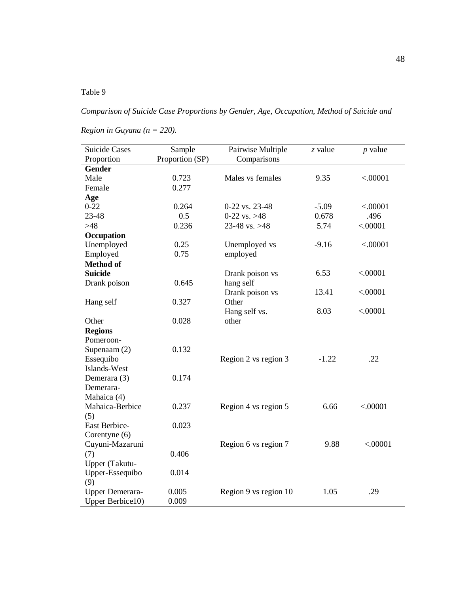# Table 9

*Comparison of Suicide Case Proportions by Gender, Age, Occupation, Method of Suicide and* 

*Region in Guyana (n = 220).*

| <b>Suicide Cases</b> | Sample          | Pairwise Multiple     | z value | $p$ value |
|----------------------|-----------------|-----------------------|---------|-----------|
| Proportion           | Proportion (SP) | Comparisons           |         |           |
| <b>Gender</b>        |                 |                       |         |           |
| Male                 | 0.723           | Males vs females      | 9.35    | < .00001  |
| Female               | 0.277           |                       |         |           |
| Age                  |                 |                       |         |           |
| $0 - 22$             | 0.264           | 0-22 vs. 23-48        | $-5.09$ | < .00001  |
| 23-48                | 0.5             | 0-22 vs. $>48$        | 0.678   | .496      |
| $>48$                | 0.236           | 23-48 vs. $>48$       | 5.74    | < .00001  |
| Occupation           |                 |                       |         |           |
| Unemployed           | 0.25            | Unemployed vs         | $-9.16$ | < .00001  |
| Employed             | 0.75            | employed              |         |           |
| <b>Method of</b>     |                 |                       |         |           |
| <b>Suicide</b>       |                 | Drank poison vs       | 6.53    | < .00001  |
| Drank poison         | 0.645           | hang self             |         |           |
|                      |                 | Drank poison vs       | 13.41   | < .00001  |
| Hang self            | 0.327           | Other                 |         |           |
|                      |                 | Hang self vs.         | 8.03    | < .00001  |
| Other                | 0.028           | other                 |         |           |
| <b>Regions</b>       |                 |                       |         |           |
| Pomeroon-            |                 |                       |         |           |
| Supenaam (2)         | 0.132           |                       |         |           |
| Essequibo            |                 | Region 2 vs region 3  | $-1.22$ | .22       |
| Islands-West         |                 |                       |         |           |
| Demerara (3)         | 0.174           |                       |         |           |
| Demerara-            |                 |                       |         |           |
| Mahaica (4)          |                 |                       |         |           |
| Mahaica-Berbice      | 0.237           | Region 4 vs region 5  | 6.66    | < .00001  |
| (5)                  |                 |                       |         |           |
| East Berbice-        | 0.023           |                       |         |           |
| Corentyne (6)        |                 |                       |         |           |
| Cuyuni-Mazaruni      |                 | Region 6 vs region 7  | 9.88    | < .00001  |
| (7)                  | 0.406           |                       |         |           |
| Upper (Takutu-       |                 |                       |         |           |
| Upper-Essequibo      | 0.014           |                       |         |           |
| (9)                  |                 |                       |         |           |
| Upper Demerara-      | 0.005           | Region 9 vs region 10 | 1.05    | .29       |
| Upper Berbice10)     | 0.009           |                       |         |           |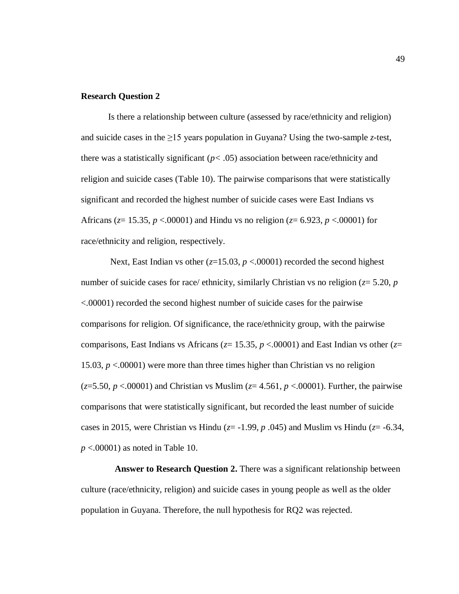## **Research Question 2**

 Is there a relationship between culture (assessed by race/ethnicity and religion) and suicide cases in the  $\geq$ 15 years population in Guyana? Using the two-sample *z*-test, there was a statistically significant  $(p < .05)$  association between race/ethnicity and religion and suicide cases (Table 10). The pairwise comparisons that were statistically significant and recorded the highest number of suicide cases were East Indians vs Africans (*z*= 15.35, *p* <.00001) and Hindu vs no religion (*z*= 6.923, *p* <.00001) for race/ethnicity and religion, respectively.

Next, East Indian vs other  $(z=15.03, p < .00001)$  recorded the second highest number of suicide cases for race/ ethnicity, similarly Christian vs no religion (*z*= 5.20, *p*  <.00001) recorded the second highest number of suicide cases for the pairwise comparisons for religion. Of significance, the race/ethnicity group, with the pairwise comparisons, East Indians vs Africans (*z*= 15.35, *p* <.00001) and East Indian vs other (*z*= 15.03, *p* <.00001) were more than three times higher than Christian vs no religion (*z*=5.50, *p* <.00001) and Christian vs Muslim (*z*= 4.561, *p* <.00001). Further, the pairwise comparisons that were statistically significant, but recorded the least number of suicide cases in 2015, were Christian vs Hindu ( $z = -1.99$ ,  $p \cdot .045$ ) and Muslim vs Hindu ( $z = -6.34$ , *p* <.00001) as noted in Table 10.

 **Answer to Research Question 2.** There was a significant relationship between culture (race/ethnicity, religion) and suicide cases in young people as well as the older population in Guyana. Therefore, the null hypothesis for RQ2 was rejected.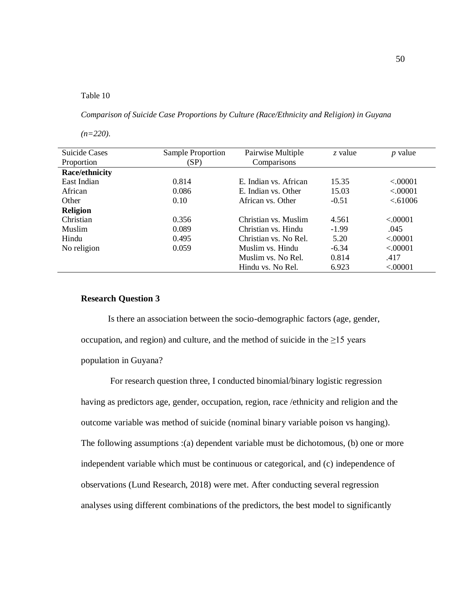### Table 10

*Comparison of Suicide Case Proportions by Culture (Race/Ethnicity and Religion) in Guyana* 

*(n=220).*

| <b>Suicide Cases</b> | Sample Proportion | Pairwise Multiple     | z value | $p$ value |
|----------------------|-------------------|-----------------------|---------|-----------|
| Proportion           | (SP)              | Comparisons           |         |           |
| Race/ethnicity       |                   |                       |         |           |
| East Indian          | 0.814             | E. Indian vs. African | 15.35   | < .00001  |
| African              | 0.086             | E. Indian vs. Other   | 15.03   | < .00001  |
| Other                | 0.10              | African vs. Other     | $-0.51$ | < 61006   |
| <b>Religion</b>      |                   |                       |         |           |
| Christian            | 0.356             | Christian vs. Muslim  | 4.561   | < 00001   |
| <b>Muslim</b>        | 0.089             | Christian vs. Hindu   | $-1.99$ | .045      |
| Hindu                | 0.495             | Christian vs. No Rel. | 5.20    | < 00001   |
| No religion          | 0.059             | Muslim vs. Hindu      | $-6.34$ | < 00001   |
|                      |                   | Muslim vs. No Rel.    | 0.814   | .417      |
|                      |                   | Hindu vs. No Rel.     | 6.923   | < .00001  |

# **Research Question 3**

 Is there an association between the socio-demographic factors (age, gender, occupation, and region) and culture, and the method of suicide in the  $\geq$ 15 years population in Guyana?

For research question three, I conducted binomial/binary logistic regression having as predictors age, gender, occupation, region, race /ethnicity and religion and the outcome variable was method of suicide (nominal binary variable poison vs hanging). The following assumptions :(a) dependent variable must be dichotomous, (b) one or more independent variable which must be continuous or categorical, and (c) independence of observations (Lund Research, 2018) were met. After conducting several regression analyses using different combinations of the predictors, the best model to significantly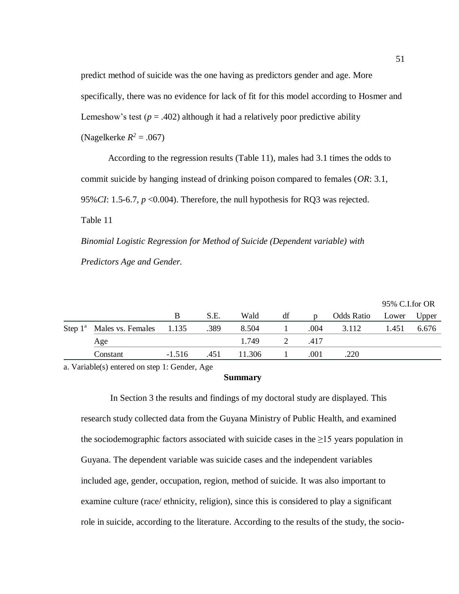predict method of suicide was the one having as predictors gender and age. More specifically, there was no evidence for lack of fit for this model according to Hosmer and Lemeshow's test  $(p = .402)$  although it had a relatively poor predictive ability (Nagelkerke  $R^2 = .067$ )

 According to the regression results (Table 11), males had 3.1 times the odds to commit suicide by hanging instead of drinking poison compared to females (*OR*: 3.1, 95%*CI*: 1.5-6.7, *p* <0.004). Therefore, the null hypothesis for RQ3 was rejected. Table 11

*Binomial Logistic Regression for Method of Suicide (Dependent variable) with Predictors Age and Gender.*

|  |                                             |          |      |        |    |      |            | 95% C.I.for OR |       |
|--|---------------------------------------------|----------|------|--------|----|------|------------|----------------|-------|
|  |                                             | B        | S.E. | Wald   | df | D    | Odds Ratio | Lower          | Upper |
|  | Step 1 <sup>a</sup> Males vs. Females 1.135 |          | .389 | 8.504  |    | .004 | 3.112      | 1.451          | 6.676 |
|  | Age                                         |          |      | 1.749  | 2  | .417 |            |                |       |
|  | Constant                                    | $-1.516$ | .451 | 11.306 |    | .001 | .220       |                |       |

a. Variable(s) entered on step 1: Gender, Age

## **Summary**

In Section 3 the results and findings of my doctoral study are displayed. This research study collected data from the Guyana Ministry of Public Health, and examined the sociodemographic factors associated with suicide cases in the  $\geq$ 15 years population in Guyana. The dependent variable was suicide cases and the independent variables included age, gender, occupation, region, method of suicide. It was also important to examine culture (race/ ethnicity, religion), since this is considered to play a significant role in suicide, according to the literature. According to the results of the study, the socio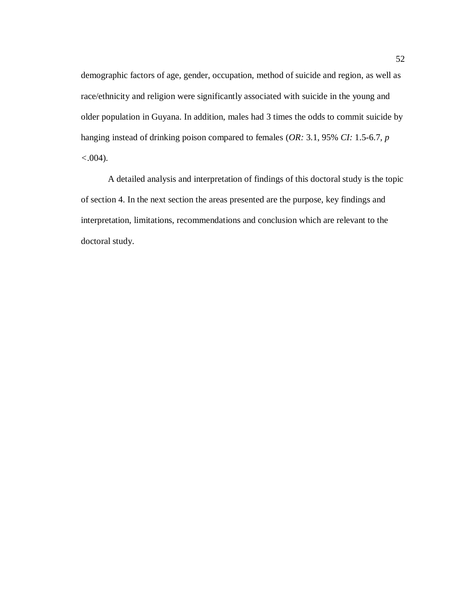demographic factors of age, gender, occupation, method of suicide and region, as well as race/ethnicity and religion were significantly associated with suicide in the young and older population in Guyana. In addition, males had 3 times the odds to commit suicide by hanging instead of drinking poison compared to females (*OR:* 3.1, 95% *CI:* 1.5-6.7*, p <*.004).

A detailed analysis and interpretation of findings of this doctoral study is the topic of section 4. In the next section the areas presented are the purpose, key findings and interpretation, limitations, recommendations and conclusion which are relevant to the doctoral study.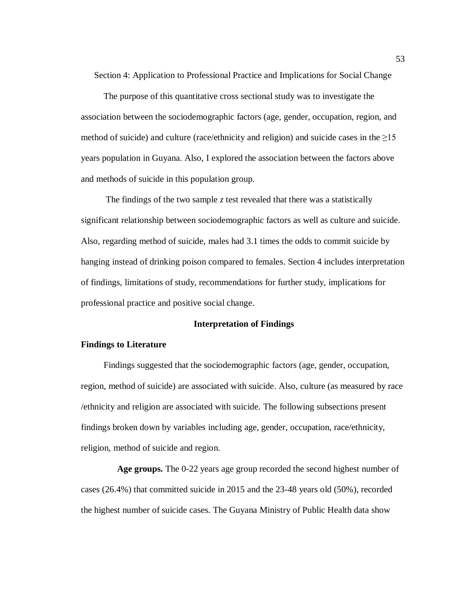Section 4: Application to Professional Practice and Implications for Social Change

 The purpose of this quantitative cross sectional study was to investigate the association between the sociodemographic factors (age, gender, occupation, region, and method of suicide) and culture (race/ethnicity and religion) and suicide cases in the  $\geq$ 15 years population in Guyana. Also, I explored the association between the factors above and methods of suicide in this population group.

 The findings of the two sample *z* test revealed that there was a statistically significant relationship between sociodemographic factors as well as culture and suicide. Also, regarding method of suicide, males had 3.1 times the odds to commit suicide by hanging instead of drinking poison compared to females. Section 4 includes interpretation of findings, limitations of study, recommendations for further study, implications for professional practice and positive social change.

# **Interpretation of Findings**

### **Findings to Literature**

Findings suggested that the sociodemographic factors (age, gender, occupation, region, method of suicide) are associated with suicide. Also, culture (as measured by race /ethnicity and religion are associated with suicide. The following subsections present findings broken down by variables including age, gender, occupation, race/ethnicity, religion, method of suicide and region.

 **Age groups.** The 0-22 years age group recorded the second highest number of cases (26.4%) that committed suicide in 2015 and the 23-48 years old (50%), recorded the highest number of suicide cases. The Guyana Ministry of Public Health data show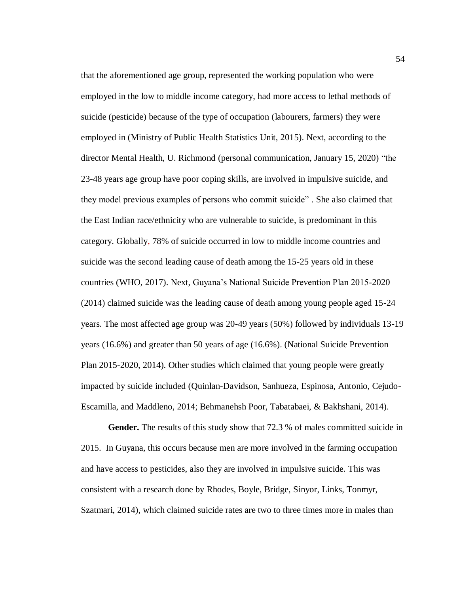that the aforementioned age group, represented the working population who were employed in the low to middle income category, had more access to lethal methods of suicide (pesticide) because of the type of occupation (labourers, farmers) they were employed in (Ministry of Public Health Statistics Unit, 2015). Next, according to the director Mental Health, U. Richmond (personal communication, January 15, 2020) "the 23-48 years age group have poor coping skills, are involved in impulsive suicide, and they model previous examples of persons who commit suicide" . She also claimed that the East Indian race/ethnicity who are vulnerable to suicide, is predominant in this category. Globally, 78% of suicide occurred in low to middle income countries and suicide was the second leading cause of death among the 15-25 years old in these countries (WHO, 2017). Next, Guyana's National Suicide Prevention Plan 2015-2020 (2014) claimed suicide was the leading cause of death among young people aged 15-24 years. The most affected age group was 20-49 years (50%) followed by individuals 13-19 years (16.6%) and greater than 50 years of age (16.6%). (National Suicide Prevention Plan 2015-2020, 2014). Other studies which claimed that young people were greatly impacted by suicide included (Quinlan-Davidson, Sanhueza, Espinosa, Antonio, Cejudo-Escamilla, and Maddleno, 2014; Behmanehsh Poor, Tabatabaei, & Bakhshani, 2014).

 **Gender.** The results of this study show that 72.3 % of males committed suicide in 2015. In Guyana, this occurs because men are more involved in the farming occupation and have access to pesticides, also they are involved in impulsive suicide. This was consistent with a research done by Rhodes, Boyle, Bridge, Sinyor, Links, Tonmyr, Szatmari, 2014), which claimed suicide rates are two to three times more in males than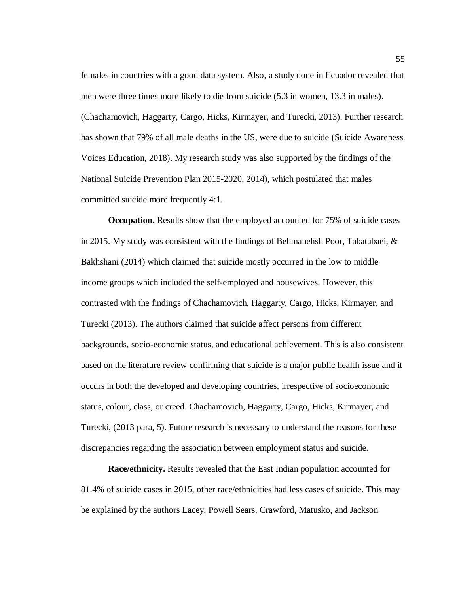females in countries with a good data system. Also, a study done in Ecuador revealed that men were three times more likely to die from suicide (5.3 in women, 13.3 in males). (Chachamovich, Haggarty, Cargo, Hicks, Kirmayer, and Turecki, 2013). Further research has shown that 79% of all male deaths in the US, were due to suicide (Suicide Awareness Voices Education, 2018). My research study was also supported by the findings of the National Suicide Prevention Plan 2015-2020, 2014), which postulated that males committed suicide more frequently 4:1.

**Occupation.** Results show that the employed accounted for 75% of suicide cases in 2015. My study was consistent with the findings of Behmanehsh Poor, Tabatabaei,  $\&$ Bakhshani (2014) which claimed that suicide mostly occurred in the low to middle income groups which included the self-employed and housewives. However, this contrasted with the findings of Chachamovich, Haggarty, Cargo, Hicks, Kirmayer, and Turecki (2013). The authors claimed that suicide affect persons from different backgrounds, socio-economic status, and educational achievement. This is also consistent based on the literature review confirming that suicide is a major public health issue and it occurs in both the developed and developing countries, irrespective of socioeconomic status, colour, class, or creed. Chachamovich, Haggarty, Cargo, Hicks, Kirmayer, and Turecki, (2013 para, 5). Future research is necessary to understand the reasons for these discrepancies regarding the association between employment status and suicide.

 **Race/ethnicity.** Results revealed that the East Indian population accounted for 81.4% of suicide cases in 2015, other race/ethnicities had less cases of suicide. This may be explained by the authors Lacey, Powell Sears, Crawford, Matusko, and Jackson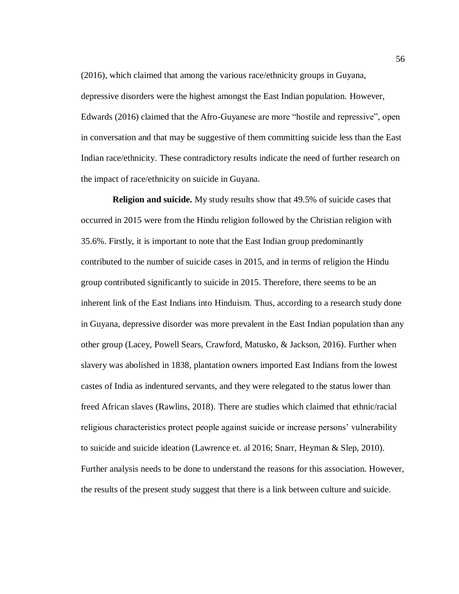(2016), which claimed that among the various race/ethnicity groups in Guyana, depressive disorders were the highest amongst the East Indian population. However, Edwards (2016) claimed that the Afro-Guyanese are more "hostile and repressive", open in conversation and that may be suggestive of them committing suicide less than the East Indian race/ethnicity. These contradictory results indicate the need of further research on the impact of race/ethnicity on suicide in Guyana.

 **Religion and suicide.** My study results show that 49.5% of suicide cases that occurred in 2015 were from the Hindu religion followed by the Christian religion with 35.6%. Firstly, it is important to note that the East Indian group predominantly contributed to the number of suicide cases in 2015, and in terms of religion the Hindu group contributed significantly to suicide in 2015. Therefore, there seems to be an inherent link of the East Indians into Hinduism. Thus, according to a research study done in Guyana, depressive disorder was more prevalent in the East Indian population than any other group (Lacey, Powell Sears, Crawford, Matusko, & Jackson, 2016). Further when slavery was abolished in 1838, plantation owners imported East Indians from the lowest castes of India as indentured servants, and they were relegated to the status lower than freed African slaves (Rawlins, 2018). There are studies which claimed that ethnic/racial religious characteristics protect people against suicide or increase persons' vulnerability to suicide and suicide ideation (Lawrence et. al 2016; Snarr, Heyman & Slep, 2010). Further analysis needs to be done to understand the reasons for this association. However, the results of the present study suggest that there is a link between culture and suicide.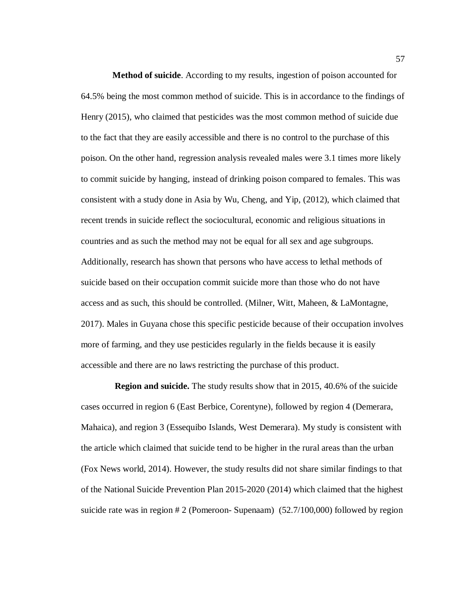**Method of suicide**. According to my results, ingestion of poison accounted for 64.5% being the most common method of suicide. This is in accordance to the findings of Henry (2015), who claimed that pesticides was the most common method of suicide due to the fact that they are easily accessible and there is no control to the purchase of this poison. On the other hand, regression analysis revealed males were 3.1 times more likely to commit suicide by hanging, instead of drinking poison compared to females. This was consistent with a study done in Asia by Wu, Cheng, and Yip, (2012), which claimed that recent trends in suicide reflect the sociocultural, economic and religious situations in countries and as such the method may not be equal for all sex and age subgroups. Additionally, research has shown that persons who have access to lethal methods of suicide based on their occupation commit suicide more than those who do not have access and as such, this should be controlled. (Milner, Witt, Maheen, & LaMontagne, 2017). Males in Guyana chose this specific pesticide because of their occupation involves more of farming, and they use pesticides regularly in the fields because it is easily accessible and there are no laws restricting the purchase of this product.

 **Region and suicide.** The study results show that in 2015, 40.6% of the suicide cases occurred in region 6 (East Berbice, Corentyne), followed by region 4 (Demerara, Mahaica), and region 3 (Essequibo Islands, West Demerara). My study is consistent with the article which claimed that suicide tend to be higher in the rural areas than the urban (Fox News world, 2014). However, the study results did not share similar findings to that of the National Suicide Prevention Plan 2015-2020 (2014) which claimed that the highest suicide rate was in region # 2 (Pomeroon- Supenaam) (52.7/100,000) followed by region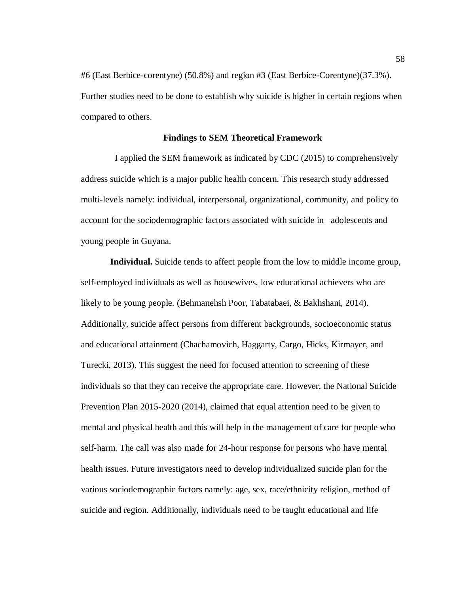#6 (East Berbice-corentyne) (50.8%) and region #3 (East Berbice-Corentyne)(37.3%). Further studies need to be done to establish why suicide is higher in certain regions when compared to others.

## **Findings to SEM Theoretical Framework**

I applied the SEM framework as indicated by CDC (2015) to comprehensively address suicide which is a major public health concern. This research study addressed multi-levels namely: individual, interpersonal, organizational, community, and policy to account for the sociodemographic factors associated with suicide in adolescents and young people in Guyana.

 **Individual.** Suicide tends to affect people from the low to middle income group, self-employed individuals as well as housewives, low educational achievers who are likely to be young people. (Behmanehsh Poor, Tabatabaei, & Bakhshani, 2014). Additionally, suicide affect persons from different backgrounds, socioeconomic status and educational attainment (Chachamovich, Haggarty, Cargo, Hicks, Kirmayer, and Turecki, 2013). This suggest the need for focused attention to screening of these individuals so that they can receive the appropriate care. However, the National Suicide Prevention Plan 2015-2020 (2014), claimed that equal attention need to be given to mental and physical health and this will help in the management of care for people who self-harm. The call was also made for 24-hour response for persons who have mental health issues. Future investigators need to develop individualized suicide plan for the various sociodemographic factors namely: age, sex, race/ethnicity religion, method of suicide and region. Additionally, individuals need to be taught educational and life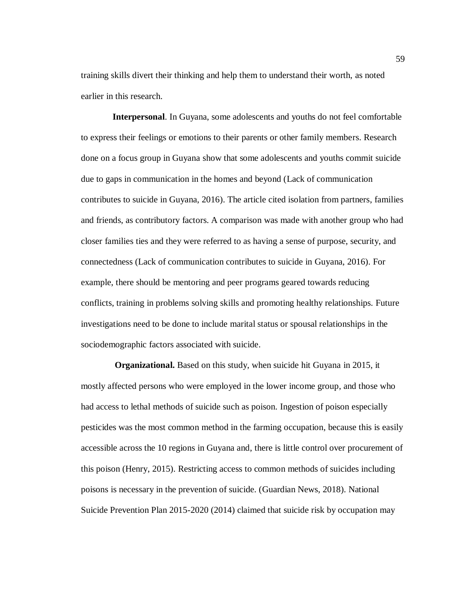training skills divert their thinking and help them to understand their worth, as noted earlier in this research.

 **Interpersonal**. In Guyana, some adolescents and youths do not feel comfortable to express their feelings or emotions to their parents or other family members. Research done on a focus group in Guyana show that some adolescents and youths commit suicide due to gaps in communication in the homes and beyond (Lack of communication contributes to suicide in Guyana, 2016). The article cited isolation from partners, families and friends, as contributory factors. A comparison was made with another group who had closer families ties and they were referred to as having a sense of purpose, security, and connectedness (Lack of communication contributes to suicide in Guyana, 2016). For example, there should be mentoring and peer programs geared towards reducing conflicts, training in problems solving skills and promoting healthy relationships. Future investigations need to be done to include marital status or spousal relationships in the sociodemographic factors associated with suicide.

 **Organizational.** Based on this study, when suicide hit Guyana in 2015, it mostly affected persons who were employed in the lower income group, and those who had access to lethal methods of suicide such as poison. Ingestion of poison especially pesticides was the most common method in the farming occupation, because this is easily accessible across the 10 regions in Guyana and, there is little control over procurement of this poison (Henry, 2015). Restricting access to common methods of suicides including poisons is necessary in the prevention of suicide. (Guardian News, 2018). National Suicide Prevention Plan 2015-2020 (2014) claimed that suicide risk by occupation may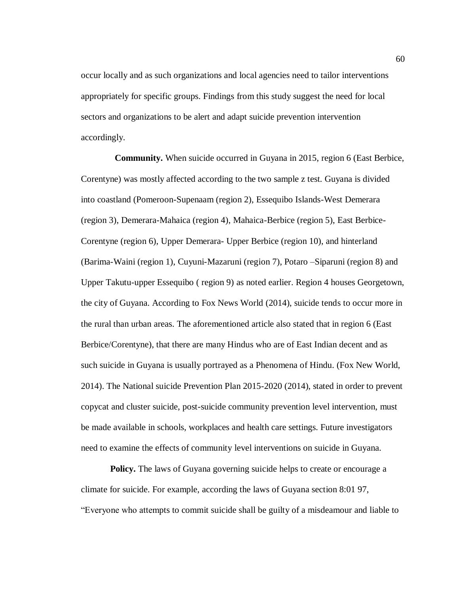occur locally and as such organizations and local agencies need to tailor interventions appropriately for specific groups. Findings from this study suggest the need for local sectors and organizations to be alert and adapt suicide prevention intervention accordingly.

 **Community.** When suicide occurred in Guyana in 2015, region 6 (East Berbice, Corentyne) was mostly affected according to the two sample z test. Guyana is divided into coastland (Pomeroon-Supenaam (region 2), Essequibo Islands-West Demerara (region 3), Demerara-Mahaica (region 4), Mahaica-Berbice (region 5), East Berbice-Corentyne (region 6), Upper Demerara- Upper Berbice (region 10), and hinterland (Barima-Waini (region 1), Cuyuni-Mazaruni (region 7), Potaro –Siparuni (region 8) and Upper Takutu-upper Essequibo ( region 9) as noted earlier. Region 4 houses Georgetown, the city of Guyana. According to Fox News World (2014), suicide tends to occur more in the rural than urban areas. The aforementioned article also stated that in region 6 (East Berbice/Corentyne), that there are many Hindus who are of East Indian decent and as such suicide in Guyana is usually portrayed as a Phenomena of Hindu. (Fox New World, 2014). The National suicide Prevention Plan 2015-2020 (2014), stated in order to prevent copycat and cluster suicide, post-suicide community prevention level intervention, must be made available in schools, workplaces and health care settings. Future investigators need to examine the effects of community level interventions on suicide in Guyana.

**Policy.** The laws of Guyana governing suicide helps to create or encourage a climate for suicide. For example, according the laws of Guyana section 8:01 97, "Everyone who attempts to commit suicide shall be guilty of a misdeamour and liable to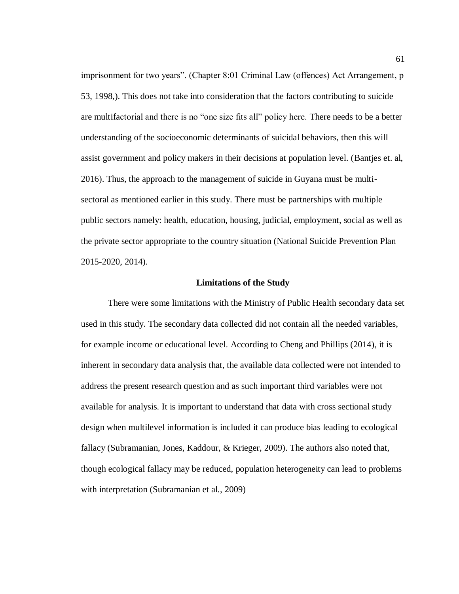imprisonment for two years". (Chapter 8:01 Criminal Law (offences) Act Arrangement, p 53, 1998,). This does not take into consideration that the factors contributing to suicide are multifactorial and there is no "one size fits all" policy here. There needs to be a better understanding of the socioeconomic determinants of suicidal behaviors, then this will assist government and policy makers in their decisions at population level. (Bantjes et. al, 2016). Thus, the approach to the management of suicide in Guyana must be multisectoral as mentioned earlier in this study. There must be partnerships with multiple public sectors namely: health, education, housing, judicial, employment, social as well as the private sector appropriate to the country situation (National Suicide Prevention Plan 2015-2020, 2014).

### **Limitations of the Study**

There were some limitations with the Ministry of Public Health secondary data set used in this study. The secondary data collected did not contain all the needed variables, for example income or educational level. According to Cheng and Phillips (2014), it is inherent in secondary data analysis that, the available data collected were not intended to address the present research question and as such important third variables were not available for analysis. It is important to understand that data with cross sectional study design when multilevel information is included it can produce bias leading to ecological fallacy (Subramanian, Jones, Kaddour, & Krieger, 2009). The authors also noted that, though ecological fallacy may be reduced, population heterogeneity can lead to problems with interpretation (Subramanian et al., 2009)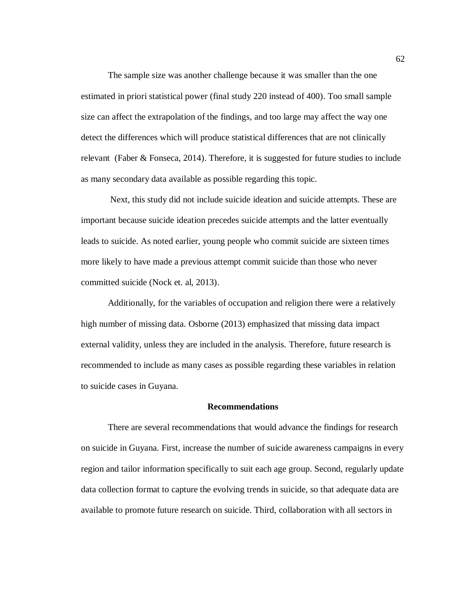The sample size was another challenge because it was smaller than the one estimated in priori statistical power (final study 220 instead of 400). Too small sample size can affect the extrapolation of the findings, and too large may affect the way one detect the differences which will produce statistical differences that are not clinically relevant (Faber & Fonseca, 2014). Therefore, it is suggested for future studies to include as many secondary data available as possible regarding this topic.

Next, this study did not include suicide ideation and suicide attempts. These are important because suicide ideation precedes suicide attempts and the latter eventually leads to suicide. As noted earlier, young people who commit suicide are sixteen times more likely to have made a previous attempt commit suicide than those who never committed suicide (Nock et. al, 2013).

Additionally, for the variables of occupation and religion there were a relatively high number of missing data. Osborne (2013) emphasized that missing data impact external validity, unless they are included in the analysis. Therefore, future research is recommended to include as many cases as possible regarding these variables in relation to suicide cases in Guyana.

### **Recommendations**

There are several recommendations that would advance the findings for research on suicide in Guyana. First, increase the number of suicide awareness campaigns in every region and tailor information specifically to suit each age group. Second, regularly update data collection format to capture the evolving trends in suicide, so that adequate data are available to promote future research on suicide. Third, collaboration with all sectors in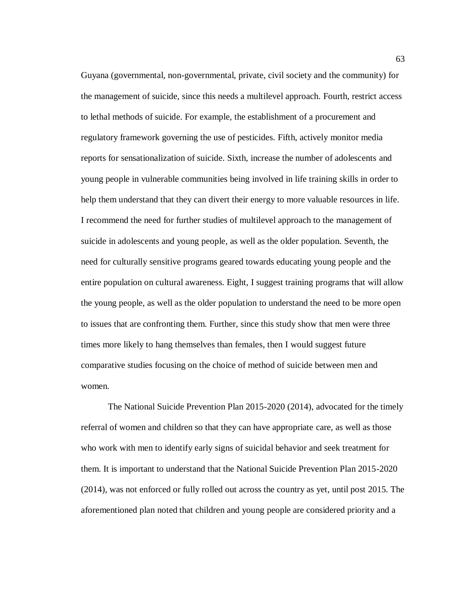Guyana (governmental, non-governmental, private, civil society and the community) for the management of suicide, since this needs a multilevel approach. Fourth, restrict access to lethal methods of suicide. For example, the establishment of a procurement and regulatory framework governing the use of pesticides. Fifth, actively monitor media reports for sensationalization of suicide. Sixth, increase the number of adolescents and young people in vulnerable communities being involved in life training skills in order to help them understand that they can divert their energy to more valuable resources in life. I recommend the need for further studies of multilevel approach to the management of suicide in adolescents and young people, as well as the older population. Seventh, the need for culturally sensitive programs geared towards educating young people and the entire population on cultural awareness. Eight, I suggest training programs that will allow the young people, as well as the older population to understand the need to be more open to issues that are confronting them. Further, since this study show that men were three times more likely to hang themselves than females, then I would suggest future comparative studies focusing on the choice of method of suicide between men and women.

The National Suicide Prevention Plan 2015-2020 (2014), advocated for the timely referral of women and children so that they can have appropriate care, as well as those who work with men to identify early signs of suicidal behavior and seek treatment for them. It is important to understand that the National Suicide Prevention Plan 2015-2020 (2014), was not enforced or fully rolled out across the country as yet, until post 2015. The aforementioned plan noted that children and young people are considered priority and a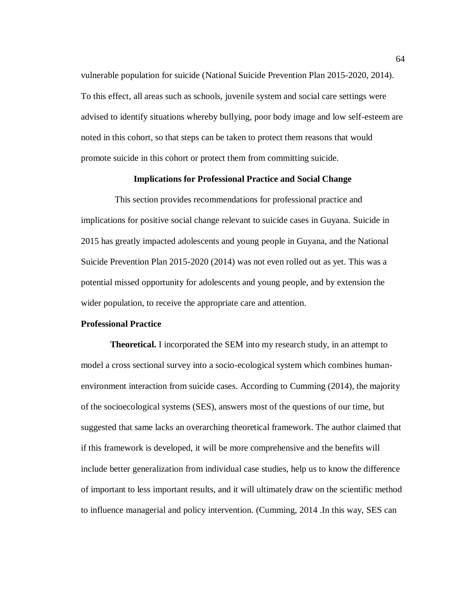vulnerable population for suicide (National Suicide Prevention Plan 2015-2020, 2014). To this effect, all areas such as schools, juvenile system and social care settings were advised to identify situations whereby bullying, poor body image and low self-esteem are noted in this cohort, so that steps can be taken to protect them reasons that would promote suicide in this cohort or protect them from committing suicide.

# **Implications for Professional Practice and Social Change**

 This section provides recommendations for professional practice and implications for positive social change relevant to suicide cases in Guyana. Suicide in 2015 has greatly impacted adolescents and young people in Guyana, and the National Suicide Prevention Plan 2015-2020 (2014) was not even rolled out as yet. This was a potential missed opportunity for adolescents and young people, and by extension the wider population, to receive the appropriate care and attention.

# **Professional Practice**

 **Theoretical.** I incorporated the SEM into my research study, in an attempt to model a cross sectional survey into a socio-ecological system which combines humanenvironment interaction from suicide cases. According to Cumming (2014), the majority of the socioecological systems (SES), answers most of the questions of our time, but suggested that same lacks an overarching theoretical framework. The author claimed that if this framework is developed, it will be more comprehensive and the benefits will include better generalization from individual case studies, help us to know the difference of important to less important results, and it will ultimately draw on the scientific method to influence managerial and policy intervention. (Cumming, 2014 .In this way, SES can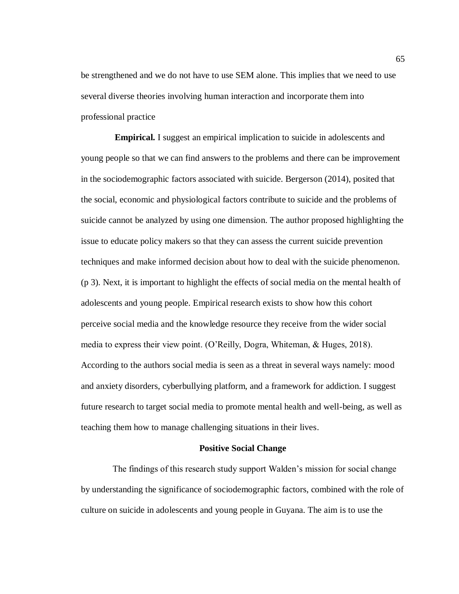be strengthened and we do not have to use SEM alone. This implies that we need to use several diverse theories involving human interaction and incorporate them into professional practice

 **Empirical.** I suggest an empirical implication to suicide in adolescents and young people so that we can find answers to the problems and there can be improvement in the sociodemographic factors associated with suicide. Bergerson (2014), posited that the social, economic and physiological factors contribute to suicide and the problems of suicide cannot be analyzed by using one dimension. The author proposed highlighting the issue to educate policy makers so that they can assess the current suicide prevention techniques and make informed decision about how to deal with the suicide phenomenon. (p 3). Next, it is important to highlight the effects of social media on the mental health of adolescents and young people. Empirical research exists to show how this cohort perceive social media and the knowledge resource they receive from the wider social media to express their view point. (O'Reilly, Dogra, Whiteman, & Huges, 2018). According to the authors social media is seen as a threat in several ways namely: mood and anxiety disorders, cyberbullying platform, and a framework for addiction. I suggest future research to target social media to promote mental health and well-being, as well as teaching them how to manage challenging situations in their lives.

#### **Positive Social Change**

 The findings of this research study support Walden's mission for social change by understanding the significance of sociodemographic factors, combined with the role of culture on suicide in adolescents and young people in Guyana. The aim is to use the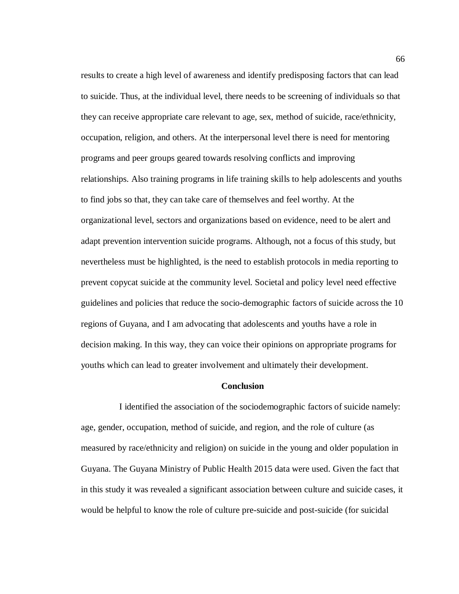results to create a high level of awareness and identify predisposing factors that can lead to suicide. Thus, at the individual level, there needs to be screening of individuals so that they can receive appropriate care relevant to age, sex, method of suicide, race/ethnicity, occupation, religion, and others. At the interpersonal level there is need for mentoring programs and peer groups geared towards resolving conflicts and improving relationships. Also training programs in life training skills to help adolescents and youths to find jobs so that, they can take care of themselves and feel worthy. At the organizational level, sectors and organizations based on evidence, need to be alert and adapt prevention intervention suicide programs. Although, not a focus of this study, but nevertheless must be highlighted, is the need to establish protocols in media reporting to prevent copycat suicide at the community level. Societal and policy level need effective guidelines and policies that reduce the socio-demographic factors of suicide across the 10 regions of Guyana, and I am advocating that adolescents and youths have a role in decision making. In this way, they can voice their opinions on appropriate programs for youths which can lead to greater involvement and ultimately their development.

### **Conclusion**

 I identified the association of the sociodemographic factors of suicide namely: age, gender, occupation, method of suicide, and region, and the role of culture (as measured by race/ethnicity and religion) on suicide in the young and older population in Guyana. The Guyana Ministry of Public Health 2015 data were used. Given the fact that in this study it was revealed a significant association between culture and suicide cases, it would be helpful to know the role of culture pre-suicide and post-suicide (for suicidal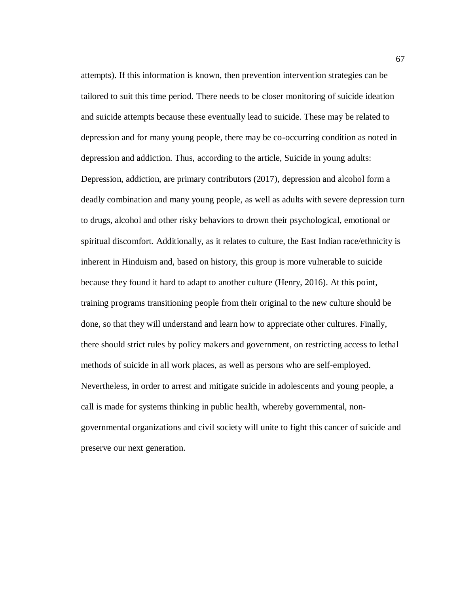attempts). If this information is known, then prevention intervention strategies can be tailored to suit this time period. There needs to be closer monitoring of suicide ideation and suicide attempts because these eventually lead to suicide. These may be related to depression and for many young people, there may be co-occurring condition as noted in depression and addiction. Thus, according to the article, Suicide in young adults: Depression, addiction, are primary contributors (2017), depression and alcohol form a deadly combination and many young people, as well as adults with severe depression turn to drugs, alcohol and other risky behaviors to drown their psychological, emotional or spiritual discomfort. Additionally, as it relates to culture, the East Indian race/ethnicity is inherent in Hinduism and, based on history, this group is more vulnerable to suicide because they found it hard to adapt to another culture (Henry, 2016). At this point, training programs transitioning people from their original to the new culture should be done, so that they will understand and learn how to appreciate other cultures. Finally, there should strict rules by policy makers and government, on restricting access to lethal methods of suicide in all work places, as well as persons who are self-employed. Nevertheless, in order to arrest and mitigate suicide in adolescents and young people, a call is made for systems thinking in public health, whereby governmental, nongovernmental organizations and civil society will unite to fight this cancer of suicide and preserve our next generation.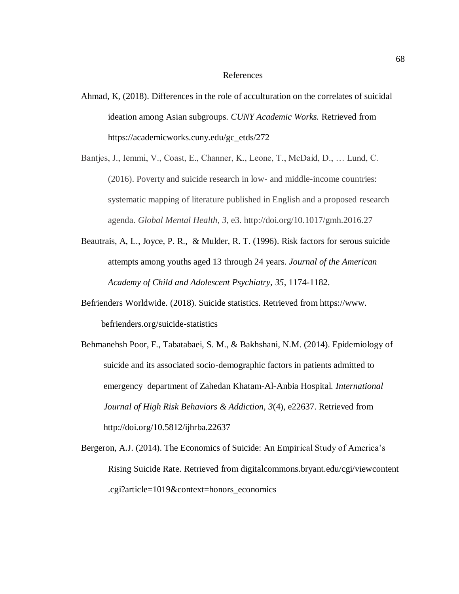### References

- Ahmad, K, (2018). Differences in the role of acculturation on the correlates of suicidal ideation among Asian subgroups. *CUNY Academic Works.* Retrieved from https://academicworks.cuny.edu/gc\_etds/272
- Bantjes, J., Iemmi, V., Coast, E., Channer, K., Leone, T., McDaid, D., … Lund, C. (2016). Poverty and suicide research in low- and middle-income countries: systematic mapping of literature published in English and a proposed research agenda. *Global Mental Health*, *3*, e3. http://doi.org/10.1017/gmh.2016.27
- Beautrais, A, L., Joyce, P. R., & Mulder, R. T. (1996). Risk factors for serous suicide attempts among youths aged 13 through 24 years. *Journal of the American Academy of Child and Adolescent Psychiatry, 35*, 1174-1182.
- Befrienders Worldwide. (2018). Suicide statistics. Retrieved from https://www. befrienders.org/suicide-statistics
- Behmanehsh Poor, F., Tabatabaei, S. M., & Bakhshani, N.M. (2014). Epidemiology of suicide and its associated socio-demographic factors in patients admitted to emergency department of Zahedan Khatam-Al-Anbia Hospital*. International Journal of High Risk Behaviors & Addiction, 3*(4), e22637. Retrieved from <http://doi.org/10.5812/ijhrba.22637>
- Bergeron, A.J. (2014). The Economics of Suicide: An Empirical Study of America's Rising Suicide Rate. Retrieved from digitalcommons.bryant.edu/cgi/viewcontent .cgi?article=1019&context=honors\_economics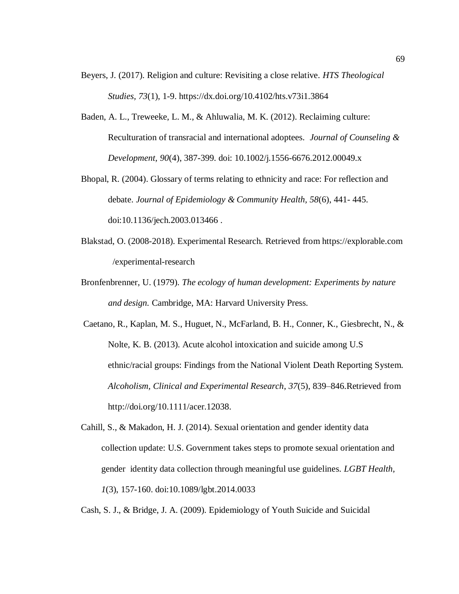- Beyers, J. (2017). Religion and culture: Revisiting a close relative*. HTS Theological Studies, 73*(1), 1-9. https://dx.doi.org/10.4102/hts.v73i1.3864
- Baden, A. L., Treweeke, L. M., & Ahluwalia, M. K. (2012). Reclaiming culture: Reculturation of transracial and international adoptees. *Journal of Counseling & Development, 90*(4), 387-399. doi: 10.1002/j.1556-6676.2012.00049.x
- Bhopal, R. (2004). Glossary of terms relating to ethnicity and race: For reflection and debate. *Journal of Epidemiology & Community Health, 58*(6), 441- 445. doi:10.1136/jech.2003.013466 .
- Blakstad, O. (2008-2018). Experimental Research. Retrieved from https://explorable.com /experimental-research
- Bronfenbrenner, U. (1979). *The ecology of human development: Experiments by nature and design.* Cambridge, MA: Harvard University Press.
- Caetano, R., Kaplan, M. S., Huguet, N., McFarland, B. H., Conner, K., Giesbrecht, N., & Nolte, K. B. (2013). Acute alcohol intoxication and suicide among U.S ethnic/racial groups: Findings from the National Violent Death Reporting System. *Alcoholism, Clinical and Experimental Research*, *37*(5), 839–846.Retrieved from http://doi.org/10.1111/acer.12038.
- Cahill, S., & Makadon, H. J. (2014). Sexual orientation and gender identity data collection update: U.S. Government takes steps to promote sexual orientation and gender identity data collection through meaningful use guidelines. *LGBT Health, 1*(3), 157-160. doi:10.1089/lgbt.2014.0033

Cash, S. J., & Bridge, J. A. (2009). Epidemiology of Youth Suicide and Suicidal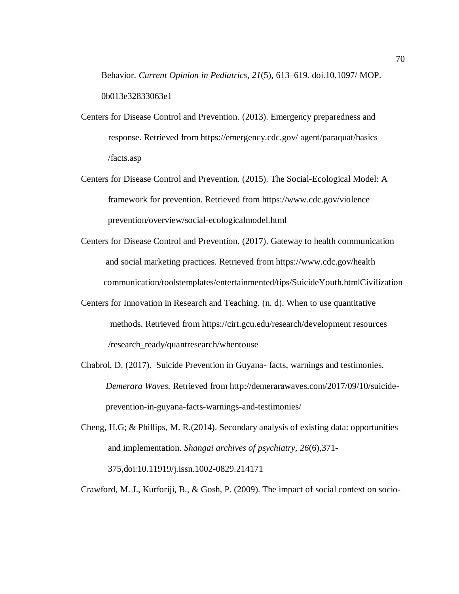Behavior. *Current Opinion in Pediatrics*, *21*(5), 613–619. doi.10.1097/ MOP. 0b013e32833063e1

- Centers for Disease Control and Prevention. (2013). Emergency preparedness and response. Retrieved from https://emergency.cdc.gov/ agent/paraquat/basics /facts.asp
- Centers for Disease Control and Prevention. (2015). The Social-Ecological Model: A framework for prevention. Retrieved from https://www.cdc.gov/violence prevention/overview/social-ecologicalmodel.html
- Centers for Disease Control and Prevention. (2017). Gateway to health communication and social marketing practices. Retrieved from https://www.cdc.gov/health communication/toolstemplates/entertainmented/tips/SuicideYouth.htmlCivilization
- Centers for Innovation in Research and Teaching. (n. d). When to use quantitative methods. Retrieved from https://cirt.gcu.edu/research/development resources /research\_ready/quantresearch/whentouse
- Chabrol, D. (2017). Suicide Prevention in Guyana- facts, warnings and testimonies. *Demerara Waves.* Retrieved from [http://demerarawaves.com/2017/09/10/suicide](http://demerarawaves.com/2017/09/10/suicide-) prevention-in-guyana-facts-warnings-and-testimonies/
- Cheng, H.G; & Phillips, M. R.(2014). Secondary analysis of existing data: opportunities and implementation. *Shangai archives of psychiatry, 26*(6),371- 375,doi:10.11919/j.issn.1002-0829.214171

Crawford, M. J., Kurforiji, B., & Gosh, P. (2009). The impact of social context on socio-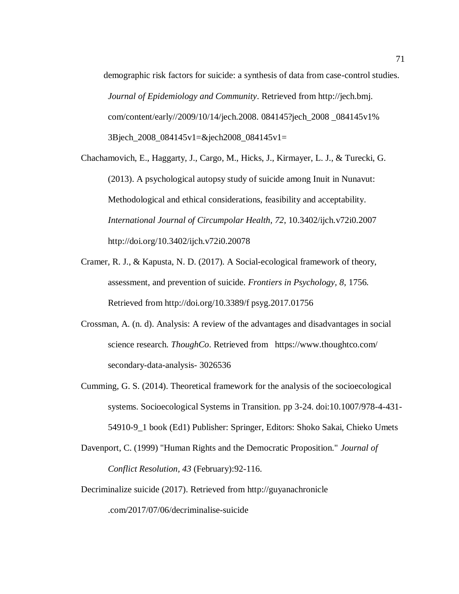demographic risk factors for suicide: a synthesis of data from case-control studies. *Journal of Epidemiology and Community*. Retrieved from http://jech.bmj. com/content/early//2009/10/14/jech.2008. 084145?jech\_2008 \_084145v1% 3Bjech\_2008\_084145v1=&jech2008\_084145v1=

Chachamovich, E., Haggarty, J., Cargo, M., Hicks, J., Kirmayer, L. J., & Turecki, G. (2013). A psychological autopsy study of suicide among Inuit in Nunavut: Methodological and ethical considerations, feasibility and acceptability. *International Journal of Circumpolar Health, 72*, 10.3402/ijch.v72i0.2007 http://doi.org/10.3402/ijch.v72i0.20078

Cramer, R. J., & Kapusta, N. D. (2017). A Social-ecological framework of theory, assessment, and prevention of suicide. *Frontiers in Psychology, 8*, 1756. Retrieved from http://doi.org/10.3389/f psyg.2017.01756

- Crossman, A. (n. d). Analysis: A review of the advantages and disadvantages in social science research. *ThoughCo*. Retrieved from https://www.thoughtco.com/ secondary-data-analysis- 3026536
- Cumming, G. S. (2014). Theoretical framework for the analysis of the socioecological systems. Socioecological Systems in Transition. pp 3-24. doi:10.1007/978-4-431- 54910-9\_1 book (Ed1) Publisher: Springer, Editors: Shoko Sakai, Chieko Umets
- Davenport, C. (1999) "Human Rights and the Democratic Proposition." *Journal of Conflict Resolution, 43* (February):92-116.

Decriminalize suicide (2017). Retrieved from http://guyanachronicle .com/2017/07/06/decriminalise-suicide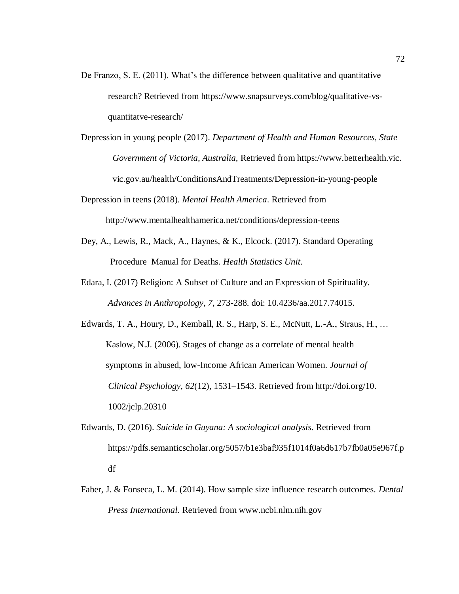- De Franzo, S. E. (2011). What's the difference between qualitative and quantitative research? Retrieved from https://www.snapsurveys.com/blog/qualitative-vsquantitatve-research/
- Depression in young people (2017). *Department of Health and Human Resources, State Government of Victoria, Australia,* Retrieved from https://www.betterhealth.vic. vic.gov.au/health/ConditionsAndTreatments/Depression-in-young-people
- Depression in teens (2018). *Mental Health America*. Retrieved from http://www.mentalhealthamerica.net/conditions/depression-teens
- Dey, A., Lewis, R., Mack, A., Haynes, & K., Elcock. (2017). Standard Operating Procedure Manual for Deaths. *Health Statistics Unit*.
- Edara, I. (2017) Religion: A Subset of Culture and an Expression of Spirituality. *Advances in Anthropology*, *7,* 273-288. doi: 10.4236/aa.2017.74015.
- Edwards, T. A., Houry, D., Kemball, R. S., Harp, S. E., McNutt, L.-A., Straus, H., … Kaslow, N.J. (2006). Stages of change as a correlate of mental health symptoms in abused, low-Income African American Women. *Journal of Clinical Psychology, 62*(12), 1531–1543. Retrieved from http://doi.org/10. 1002/jclp.20310
- Edwards, D. (2016). *Suicide in Guyana: A sociological analysis*. Retrieved from [https://pdfs.semanticscholar.org/5057/b1e3baf935f1014f0a6d617b7fb0a05e967f.p](https://pdfs.semanticscholar.org/5057/b1e3baf935f1014f0a6d617b7fb0a05e967f.pdf) [df](https://pdfs.semanticscholar.org/5057/b1e3baf935f1014f0a6d617b7fb0a05e967f.pdf)
- Faber, J. & Fonseca, L. M. (2014). How sample size influence research outcomes. *Dental Press International.* Retrieved from www.ncbi.nlm.nih.gov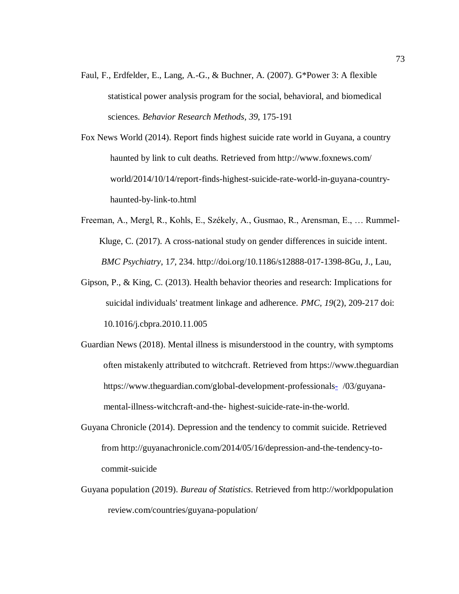- Faul, F., Erdfelder, E., Lang, A.-G., & Buchner, A. (2007). G\*Power 3: A flexible statistical power analysis program for the social, behavioral, and biomedical sciences. *Behavior Research Methods*, *39*, 175-191
- Fox News World (2014). Report finds highest suicide rate world in Guyana, a country haunted by link to cult deaths. Retrieved from http://www.foxnews.com/ world/2014/10/14/report-finds-highest-suicide-rate-world-in-guyana-country haunted-by-link-to.html
- Freeman, A., Mergl, R., Kohls, E., Székely, A., Gusmao, R., Arensman, E., … Rummel- Kluge, C. (2017). A cross-national study on gender differences in suicide intent. *BMC Psychiatry*, 1*7,* 234. http://doi.org/10.1186/s12888-017-1398-8Gu, J., Lau,
- Gipson, P., & King, C. (2013). Health behavior theories and research: Implications for suicidal individuals' treatment linkage and adherence. *PMC, 19*(2), 209-217 doi: 10.1016/j.cbpra.2010.11.005
- Guardian News (2018). Mental illness is misunderstood in the country, with symptoms often mistakenly attributed to witchcraft. Retrieved from https://www.theguardian <https://www.theguardian.com/global-development-professionals->/03/guyana mental-illness-witchcraft-and-the- highest-suicide-rate-in-the-world.
- Guyana Chronicle (2014). Depression and the tendency to commit suicide. Retrieved from [http://guyanachronicle.com/2014/05/16/depression-and-the-tendency-to](http://guyanachronicle.com/2014/05/16/depression-and-the-tendency-to-) commit-suicide
- Guyana population (2019). *Bureau of Statistics*. Retrieved from http://worldpopulation review.com/countries/guyana-population/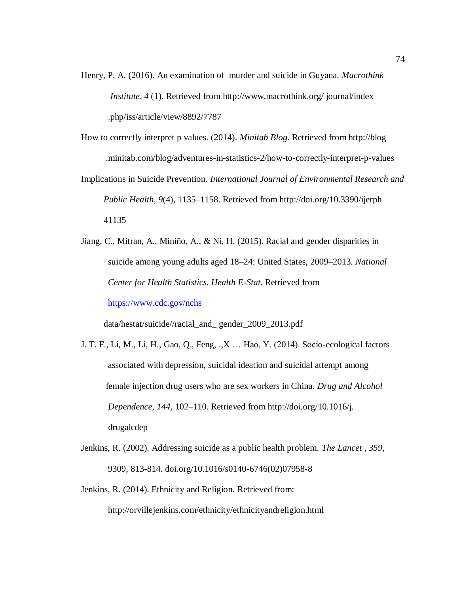- Henry, P. A. (2016). An examination of murder and suicide in Guyana. *Macrothink Institute*, *4* (1). Retrieved from http://www.macrothink.org/ journal/index .php/iss/article/view/8892/7787
- How to correctly interpret p values. (2014). *Minitab Blog*. Retrieved from http://blog .minitab.com/blog/adventures-in-statistics-2/how-to-correctly-interpret-p-values
- Implications in Suicide Prevention. *International Journal of Environmental Research and Public Health, 9*(4), 1135–1158. Retrieved from http://doi.org/10.3390/ijerph 41135
- Jiang, C., Mitran, A., Miniño, A., & Ni, H. (2015). Racial and gender disparities in suicide among young adults aged 18–24: United States, 2009–2013. *National Center for Health Statistics. Health E-Stat*. Retrieved from

<https://www.cdc.gov/nchs>

data/hestat/suicide//racial\_and\_ gender\_2009\_2013.pdf

- J. T. F., Li, M., Li, H., Gao, Q., Feng, .,X … Hao, Y. (2014). Socio-ecological factors associated with depression, suicidal ideation and suicidal attempt among female injection drug users who are sex workers in China. *Drug and Alcohol Dependence, 144,* 102–110. Retrieved from [http://doi.org/1](http://doi.org/)0.1016/j. drugalcdep
- Jenkins, R. (2002). Addressing suicide as a public health problem. *The Lancet* , *359,* 9309, 813-814. doi.org/10.1016/s0140-6746(02)07958-8
- Jenkins, R. (2014). Ethnicity and Religion. Retrieved from:

<http://orvillejenkins.com/ethnicity/ethnicityandreligion.html>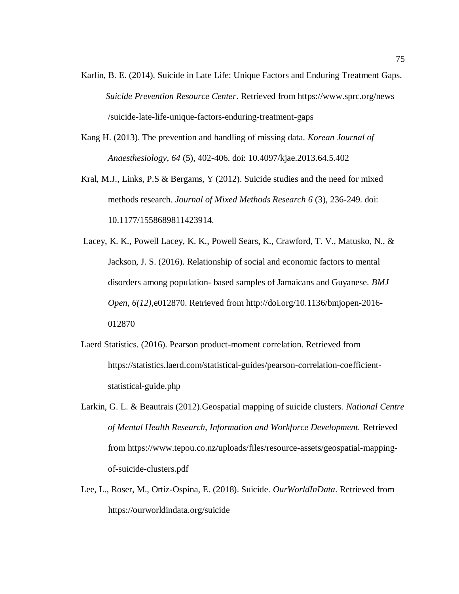- Karlin, B. E. (2014). Suicide in Late Life: Unique Factors and Enduring Treatment Gaps. *Suicide Prevention Resource Center*. Retrieved from https://www.sprc.org/news /suicide-late-life-unique-factors-enduring-treatment-gaps
- Kang H. (2013). The prevention and handling of missing data. *Korean Journal of Anaesthesiology*, *64* (5), 402-406. doi: 10.4097/kjae.2013.64.5.402
- Kral, M.J., Links, P.S & Bergams, Y (2012). Suicide studies and the need for mixed methods research. *Journal of Mixed Methods Research 6* (3), 236-249. doi: 10.1177/1558689811423914.
- Lacey, K. K., Powell Lacey, K. K., Powell Sears, K., Crawford, T. V., Matusko, N., & Jackson, J. S. (2016). Relationship of social and economic factors to mental disorders among population- based samples of Jamaicans and Guyanese. *BMJ Open, 6(12),*e012870. Retrieved from [http://doi.org/10.1136/bmjopen-2016-](http://doi.org/10.1136/bmjopen-2016-012870) [012870](http://doi.org/10.1136/bmjopen-2016-012870)
- Laerd Statistics. (2016). Pearson product-moment correlation. Retrieved from [https://statistics.laerd.com/statistical-guides/pearson-correlation-coefficient](https://statistics.laerd.com/statistical-guides/pearson-correlation-coefficient-statistical-guide.php)[statistical-guide.php](https://statistics.laerd.com/statistical-guides/pearson-correlation-coefficient-statistical-guide.php)
- Larkin, G. L. & Beautrais (2012).Geospatial mapping of suicide clusters. *National Centre of Mental Health Research, Information and Workforce Development.* Retrieved from https://www.tepou.co.nz/uploads/files/resource-assets/geospatial-mappingof-suicide-clusters.pdf
- Lee, L., Roser, M., Ortiz-Ospina, E. (2018). Suicide. *OurWorldInData*. Retrieved from https://ourworldindata.org/suicide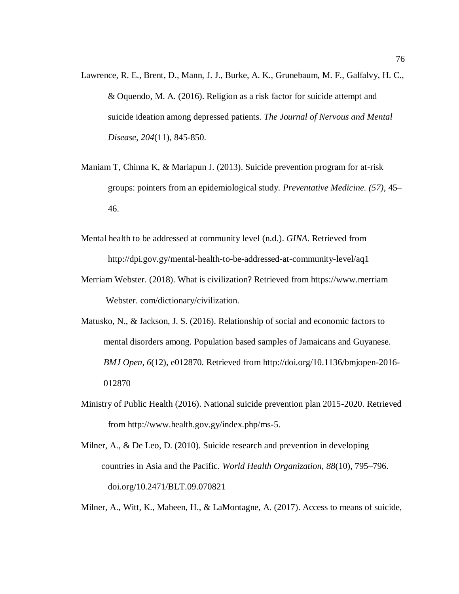- Lawrence, R. E., Brent, D., Mann, J. J., Burke, A. K., Grunebaum, M. F., Galfalvy, H. C., & Oquendo, M. A. (2016). Religion as a risk factor for suicide attempt and suicide ideation among depressed patients. *The Journal of Nervous and Mental Disease, 204*(11), 845-850.
- Maniam T, Chinna K, & Mariapun J. (2013). Suicide prevention program for at-risk groups: pointers from an epidemiological study*. Preventative Medicine. (57)*, 45– 46.
- Mental health to be addressed at community level (n.d.). *GINA*. Retrieved from http://dpi.gov.gy/mental-health-to-be-addressed-at-community-level/aq1
- Merriam Webster. (2018). What is civilization? Retrieved from https://www.merriam Webster. com/dictionary/civilization.
- Matusko, N., & Jackson, J. S. (2016). Relationship of social and economic factors to mental disorders among. Population based samples of Jamaicans and Guyanese. *BMJ Open*, *6*(12), e012870. Retrieved from [http://doi.org/10.1136/bmjopen-2016-](http://doi.org/10.1136/bmjopen-2016-%20%20%20%20%20%20%20%20%20%20%20%20012870)   [012870](http://doi.org/10.1136/bmjopen-2016-%20%20%20%20%20%20%20%20%20%20%20%20012870)
- Ministry of Public Health (2016). National suicide prevention plan 2015-2020. Retrieved from [http://www.health.gov.gy/index.php/ms-5.](http://www.health.gov.gy/index.php/ms-5)
- Milner, A., & De Leo, D. (2010). Suicide research and prevention in developing countries in Asia and the Pacific. *World Health Organization, 88*(10), 795–796. doi.org/10.2471/BLT.09.070821

Milner, A., Witt, K., Maheen, H., & LaMontagne, A. (2017). Access to means of suicide,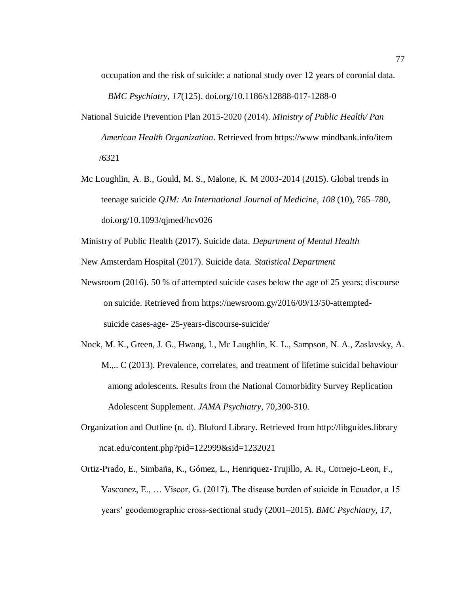occupation and the risk of suicide: a national study over 12 years of coronial data.

*BMC Psychiatry, 17*(125). doi.org/10.1186/s12888-017-1288-0

- National Suicide Prevention Plan 2015-2020 (2014). *Ministry of Public Health/ Pan American Health Organization*. Retrieved from https://www mindbank.info/item /6321
- Mc Loughlin, A. B., Gould, M. S., Malone, K. M 2003-2014 (2015). Global trends in teenage suicide *QJM: An International Journal of Medicine, 108* (10), 765–780, doi.org/10.1093/qjmed/hcv026

Ministry of Public Health (2017). Suicide data. *Department of Mental Health*

New Amsterdam Hospital (2017). Suicide data. *Statistical Department*

- Newsroom (2016). 50 % of attempted suicide cases below the age of 25 years; discourse on suicide. Retrieved from [https://newsroom.gy/2016/09/13/50-attempted](https://newsroom.gy/2016/09/13/50-attempted-%20%20%20%20%20%20%20%20%20%20%20%20%20%20%20%20%20%20%20%20%20%20%20%20%20suicide%20cases-)   [suicide cases-a](https://newsroom.gy/2016/09/13/50-attempted-%20%20%20%20%20%20%20%20%20%20%20%20%20%20%20%20%20%20%20%20%20%20%20%20%20suicide%20cases-)ge- 25-years-discourse-suicide/
- Nock, M. K., Green, J. G., Hwang, I., Mc Laughlin, K. L., Sampson, N. A., Zaslavsky, A. M.,.. C (2013). Prevalence, correlates, and treatment of lifetime suicidal behaviour among adolescents. Results from the National Comorbidity Survey Replication Adolescent Supplement. *JAMA Psychiatry*, 70,300-310.
- Organization and Outline (n. d). Bluford Library. Retrieved from http://libguides.library ncat.edu/content.php?pid=122999&sid=1232021
- Ortiz-Prado, E., Simbaña, K., Gómez, L., Henriquez-Trujillo, A. R., Cornejo-Leon, F., Vasconez, E., … Viscor, G. (2017). The disease burden of suicide in Ecuador, a 15 years' geodemographic cross-sectional study (2001–2015). *BMC Psychiatry*, *17,*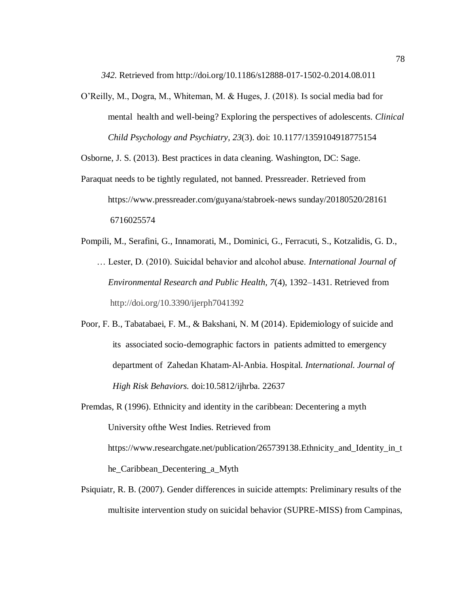*342.* Retrieved from<http://doi.org/10.1186/s12888-017-1502-0.2014.08.011>

O'Reilly, M., Dogra, M., Whiteman, M. & Huges, J. (2018). Is social media bad for mental health and well-being? Exploring the perspectives of adolescents. *Clinical Child Psychology and Psychiatry, 23*(3). doi: 10.1177/1359104918775154

Osborne, J. S. (2013). Best practices in data cleaning. Washington, DC: Sage.

- Paraquat needs to be tightly regulated, not banned. Pressreader. Retrieved from https://www.pressreader.com/guyana/stabroek-news sunday/20180520/28161 6716025574
- Pompili, M., Serafini, G., Innamorati, M., Dominici, G., Ferracuti, S., Kotzalidis, G. D., … Lester, D. (2010). Suicidal behavior and alcohol abuse. *International Journal of Environmental Research and Public Health, 7*(4), 1392–1431. Retrieved from <http://doi.org/10.3390/ijerph7041392>
- Poor, F. B., Tabatabaei, F. M., & Bakshani, N. M (2014). Epidemiology of suicide and its associated socio-demographic factors in patients admitted to emergency department of Zahedan Khatam-Al-Anbia. Hospital. *International. Journal of High Risk Behaviors.* doi:10.5812/ijhrba. 22637
- Premdas, R (1996). Ethnicity and identity in the caribbean: Decentering a myth University ofthe West Indies. Retrieved from https://www.researchgate.net/publication/265739138.Ethnicity\_and\_Identity\_in\_t he\_Caribbean\_Decentering\_a\_Myth
- Psiquiatr, R. B. (2007). Gender differences in suicide attempts: Preliminary results of the multisite intervention study on suicidal behavior (SUPRE-MISS) from Campinas,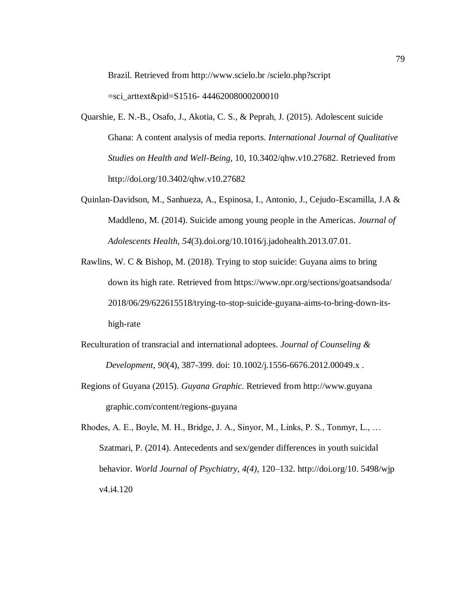Brazil. Retrieved from http://www.scielo.br /scielo.php?script

 $=$ sci arttext&pid=S1516- 44462008000200010

- Quarshie, E. N.-B., Osafo, J., Akotia, C. S., & Peprah, J. (2015). Adolescent suicide Ghana: A content analysis of media reports. *International Journal of Qualitative Studies on Health and Well-Being,* 10, 10.3402/qhw.v10.27682. Retrieved from <http://doi.org/10.3402/qhw.v10.27682>
- Quinlan-Davidson, M., Sanhueza, A., Espinosa, I., Antonio, J., Cejudo-Escamilla, J.A & Maddleno, M. (2014). Suicide among young people in the Americas. *Journal of Adolescents Health, 54*(3).doi.org/10.1016/j.jadohealth.2013.07.01.
- Rawlins, W. C & Bishop, M. (2018). Trying to stop suicide: Guyana aims to bring down its high rate. Retrieved from https://www.npr.org/sections/goatsandsoda/ 2018/06/29/622615518/trying-to-stop-suicide-guyana-aims-to-bring-down-its high-rate
- Reculturation of transracial and international adoptees. *Journal of Counseling & Development, 90*(4), 387-399. doi: 10.1002/j.1556-6676.2012.00049.x .
- Regions of Guyana (2015). *Guyana Graphic.* Retrieved from http://www.guyana graphic.com/content/regions-guyana
- Rhodes, A. E., Boyle, M. H., Bridge, J. A., Sinyor, M., Links, P. S., Tonmyr, L., … Szatmari, P. (2014). Antecedents and sex/gender differences in youth suicidal behavior. *World Journal of Psychiatry, 4(4),* 120–132. http://doi.org/10. 5498/wjp v4.i4.120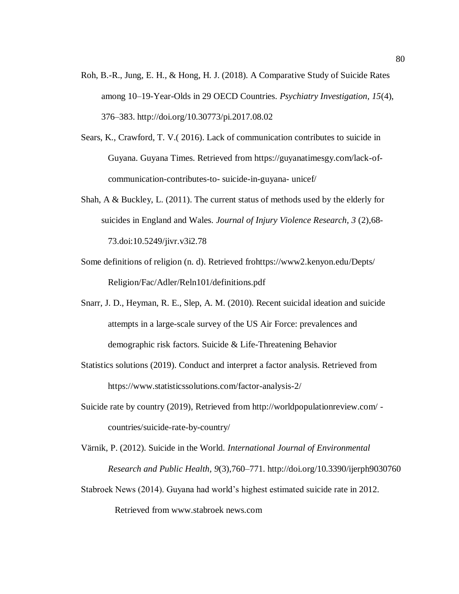- Roh, B.-R., Jung, E. H., & Hong, H. J. (2018). A Comparative Study of Suicide Rates among 10–19-Year-Olds in 29 OECD Countries. *Psychiatry Investigation, 15*(4), 376–383.<http://doi.org/10.30773/pi.2017.08.02>
- Sears, K., Crawford, T. V.( 2016). Lack of communication contributes to suicide in Guyana. Guyana Times. Retrieved from https://guyanatimesgy.com/lack-of communication-contributes-to- suicide-in-guyana- unicef/
- Shah, A & Buckley, L. (2011). The current status of methods used by the elderly for suicides in England and Wales. *Journal of Injury Violence Research, 3* (2),68- 73.doi:10.5249/jivr.v3i2.78
- Some definitions of religion (n. d). Retrieved frohttps://www2.kenyon.edu/Depts/ Religion/Fac/Adler/Reln101/definitions.pdf
- Snarr, J. D., Heyman, R. E., Slep, A. M. (2010). Recent suicidal ideation and suicide attempts in a large-scale survey of the US Air Force: prevalences and demographic risk factors. Suicide & Life-Threatening Behavior
- Statistics solutions (2019). Conduct and interpret a factor analysis. Retrieved from https://www.statisticssolutions.com/factor-analysis-2/
- Suicide rate by country (2019), Retrieved from http://worldpopulationreview.com/ countries/suicide-rate-by-country/
- Värnik, P. (2012). Suicide in the World. *International Journal of Environmental Research and Public Health, 9*(3),760–771. http://doi.org/10.3390/ijerph9030760
- Stabroek News (2014). Guyana had world's highest estimated suicide rate in 2012.

Retrieved from www.stabroek news.com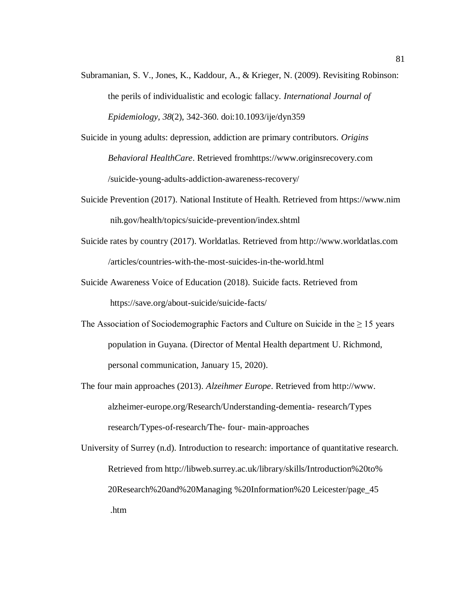- Subramanian, S. V., Jones, K., Kaddour, A., & Krieger, N. (2009). Revisiting Robinson: the perils of individualistic and ecologic fallacy. *International Journal of Epidemiology, 38*(2), 342-360. doi:10.1093/ije/dyn359
- Suicide in young adults: depression, addiction are primary contributors. *Origins Behavioral HealthCare*. Retrieved fromhttps://www.originsrecovery.com /suicide-young-adults-addiction-awareness-recovery/
- Suicide Prevention (2017). National Institute of Health. Retrieved from https://www.nim nih.gov/health/topics/suicide-prevention/index.shtml
- Suicide rates by country (2017). Worldatlas. Retrieved from http://www.worldatlas.com /articles/countries-with-the-most-suicides-in-the-world.html
- Suicide Awareness Voice of Education (2018). Suicide facts. Retrieved from <https://save.org/about-suicide/suicide-facts/>
- The Association of Sociodemographic Factors and Culture on Suicide in the  $\geq 15$  years population in Guyana. (Director of Mental Health department U. Richmond, personal communication, January 15, 2020).
- The four main approaches (2013). *Alzeihmer Europe*. Retrieved from http://www. [alzheimer-europe.org/Research/Understanding-dementia-](http://www.alzheimer-europe.org/Research/Understanding-dementia-) research/Types research/Types-of-research/The- four- main-approaches
- University of Surrey (n.d). Introduction to research: importance of quantitative research. Retrieved from http://libweb.surrey.ac.uk/library/skills/Introduction%20to% 20Research%20and%20Managing %20Information%20 Leicester/page\_45 .htm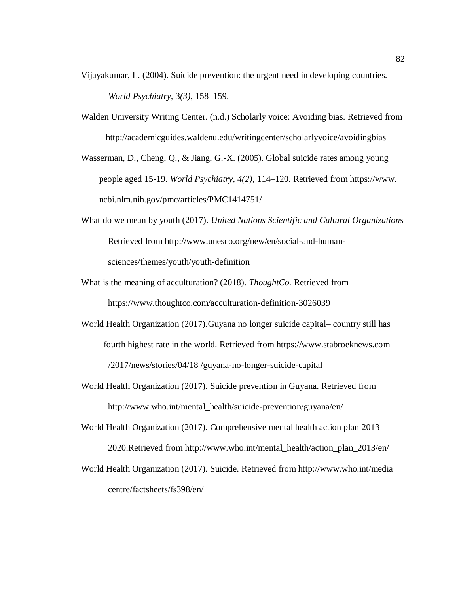- Vijayakumar, L. (2004). Suicide prevention: the urgent need in developing countries. *World Psychiatry,* 3*(3),* 158–159.
- Walden University Writing Center. (n.d.) Scholarly voice: Avoiding bias. Retrieved from http://academicguides.waldenu.edu/writingcenter/scholarlyvoice/avoidingbias

Wasserman, D., Cheng, Q., & Jiang, G.-X. (2005). Global suicide rates among young people aged 15-19. *World Psychiatry, 4(2),* 114–120. Retrieved from [https://www.](https://www/) ncbi.nlm.nih.gov/pmc/articles/PMC1414751/

- What do we mean by youth (2017). *United Nations Scientific and Cultural Organizations* Retrieved from http://www.unesco.org/new/en/social-and-humansciences/themes/youth/youth-definition
- What is the meaning of acculturation? (2018). *ThoughtCo.* Retrieved from <https://www.thoughtco.com/acculturation-definition-3026039>
- World Health Organization (2017).Guyana no longer suicide capital– country still has fourth highest rate in the world. Retrieved from https://www.stabroeknews.com /2017/news/stories/04/18 /guyana-no-longer-suicide-capital
- World Health Organization (2017). Suicide prevention in Guyana. Retrieved from http://www.who.int/mental\_health/suicide-prevention/guyana/en/
- World Health Organization (2017). Comprehensive mental health action plan 2013– 2020.Retrieved from http://www.who.int/mental\_health/action\_plan\_2013/en/
- World Health Organization (2017). Suicide. Retrieved from http://www.who.int/media centre/factsheets/fs398/en/